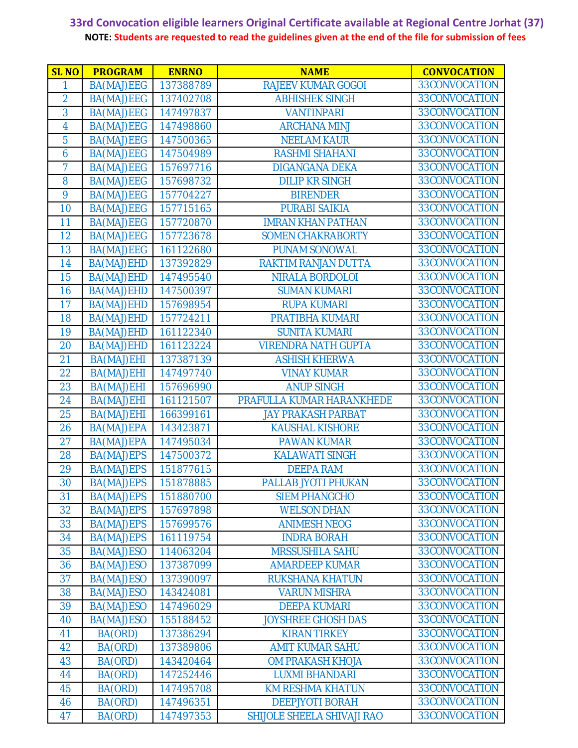| <b>SLNO</b>    | <b>PROGRAM</b> | <b>ENRNO</b> | <b>NAME</b>                | <b>CONVOCATION</b> |
|----------------|----------------|--------------|----------------------------|--------------------|
| 1              | BA(MAJ)EEG     | 137388789    | <b>RAJEEV KUMAR GOGOI</b>  | 33CONVOCATION      |
| $\overline{2}$ | BA(MAJ)EEG     | 137402708    | <b>ABHISHEK SINGH</b>      | 33CONVOCATION      |
| 3              | BA(MAJ)EEG     | 147497837    | <b>VANTINPARI</b>          | 33CONVOCATION      |
| 4              | BA(MAJ)EEG     | 147498860    | <b>ARCHANA MINJ</b>        | 33CONVOCATION      |
| 5              | BA(MAJ)EEG     | 147500365    | <b>NEELAM KAUR</b>         | 33CONVOCATION      |
| 6              | BA(MAJ)EEG     | 147504989    | <b>RASHMI SHAHANI</b>      | 33CONVOCATION      |
| $\overline{7}$ | BA(MAJ)EEG     | 157697716    | <b>DIGANGANA DEKA</b>      | 33CONVOCATION      |
| 8              | BA(MAJ)EEG     | 157698732    | <b>DILIP KR SINGH</b>      | 33CONVOCATION      |
| 9              | BA(MAJ)EEG     | 157704227    | <b>BIRENDER</b>            | 33CONVOCATION      |
| 10             | BA(MAJ)EEG     | 157715165    | <b>PURABI SAIKIA</b>       | 33CONVOCATION      |
| 11             | BA(MAJ)EEG     | 157720870    | <b>IMRAN KHAN PATHAN</b>   | 33CONVOCATION      |
| 12             | BA(MAJ)EEG     | 157723678    | <b>SOMEN CHAKRABORTY</b>   | 33CONVOCATION      |
| 13             | BA(MAJ)EEG     | 161122680    | <b>PUNAM SONOWAL</b>       | 33CONVOCATION      |
| 14             | BA(MAJ)EHD     | 137392829    | RAKTIM RANJAN DUTTA        | 33CONVOCATION      |
| 15             | BA(MAJ)EHD     | 147495540    | <b>NIRALA BORDOLOI</b>     | 33CONVOCATION      |
| 16             | BA(MAJ)EHD     | 147500397    | <b>SUMAN KUMARI</b>        | 33CONVOCATION      |
| 17             | BA(MAJ)EHD     | 157698954    | <b>RUPA KUMARI</b>         | 33CONVOCATION      |
| 18             | BA(MAJ)EHD     | 157724211    | PRATIBHA KUMARI            | 33CONVOCATION      |
| 19             | BA(MAJ)EHD     | 161122340    | <b>SUNITA KUMARI</b>       | 33CONVOCATION      |
| 20             | BA(MAJ)EHD     | 161123224    | <b>VIRENDRA NATH GUPTA</b> | 33CONVOCATION      |
| 21             | BA(MAJ)EHI     | 137387139    | <b>ASHISH KHERWA</b>       | 33CONVOCATION      |
| 22             | BA(MAJ)EHI     | 147497740    | <b>VINAY KUMAR</b>         | 33CONVOCATION      |
| 23             | BA(MAJ)EHI     | 157696990    | <b>ANUP SINGH</b>          | 33CONVOCATION      |
| 24             | BA(MAJ)EHI     | 161121507    | PRAFULLA KUMAR HARANKHEDE  | 33CONVOCATION      |
| 25             | BA(MAJ)EHI     | 166399161    | <b>JAY PRAKASH PARBAT</b>  | 33CONVOCATION      |
| 26             | BA(MAJ)EPA     | 143423871    | <b>KAUSHAL KISHORE</b>     | 33CONVOCATION      |
| 27             | BA(MAJ)EPA     | 147495034    | <b>PAWAN KUMAR</b>         | 33CONVOCATION      |
| 28             | BA(MAJ)EPS     | 147500372    | <b>KALAWATI SINGH</b>      | 33CONVOCATION      |
| 29             | BA(MAJ)EPS     | 151877615    | <b>DEEPA RAM</b>           | 33CONVOCATION      |
| 30             | BA(MAJ)EPS     | 151878885    | PALLAB JYOTI PHUKAN        | 33CONVOCATION      |
| 31             | BA(MAJ)EPS     | 151880700    | <b>SIEM PHANGCHO</b>       | 33CONVOCATION      |
| 32             | BA(MAJ)EPS     | 157697898    | <b>WELSON DHAN</b>         | 33CONVOCATION      |
| 33             | BA(MAJ)EPS     | 157699576    | <b>ANIMESH NEOG</b>        | 33CONVOCATION      |
| 34             | BA(MAJ)EPS     | 161119754    | <b>INDRA BORAH</b>         | 33CONVOCATION      |
| 35             | BA(MAJ)ESO     | 114063204    | <b>MRSSUSHILA SAHU</b>     | 33CONVOCATION      |
| 36             | BA(MAJ)ESO     | 137387099    | <b>AMARDEEP KUMAR</b>      | 33CONVOCATION      |
| 37             | BA(MAJ)ESO     | 137390097    | <b>RUKSHANA KHATUN</b>     | 33CONVOCATION      |
| 38             | BA(MAJ)ESO     | 143424081    | <b>VARUN MISHRA</b>        | 33CONVOCATION      |
| 39             | BA(MAJ)ESO     | 147496029    | <b>DEEPA KUMARI</b>        | 33CONVOCATION      |
| 40             | BA(MAJ)ESO     | 155188452    | <b>JOYSHREE GHOSH DAS</b>  | 33CONVOCATION      |
| 41             | BA(ORD)        | 137386294    | <b>KIRAN TIRKEY</b>        | 33CONVOCATION      |
| 42             | BA(ORD)        | 137389806    | <b>AMIT KUMAR SAHU</b>     | 33CONVOCATION      |
| 43             | BA(ORD)        | 143420464    | <b>OM PRAKASH KHOJA</b>    | 33CONVOCATION      |
| 44             | BA(ORD)        | 147252446    | <b>LUXMI BHANDARI</b>      | 33CONVOCATION      |
| 45             | BA(ORD)        | 147495708    | <b>KM RESHMA KHATUN</b>    | 33CONVOCATION      |
| 46             | BA(ORD)        | 147496351    | <b>DEEPJYOTI BORAH</b>     | 33CONVOCATION      |
| 47             | BA(ORD)        | 147497353    | SHIJOLE SHEELA SHIVAJI RAO | 33CONVOCATION      |
|                |                |              |                            |                    |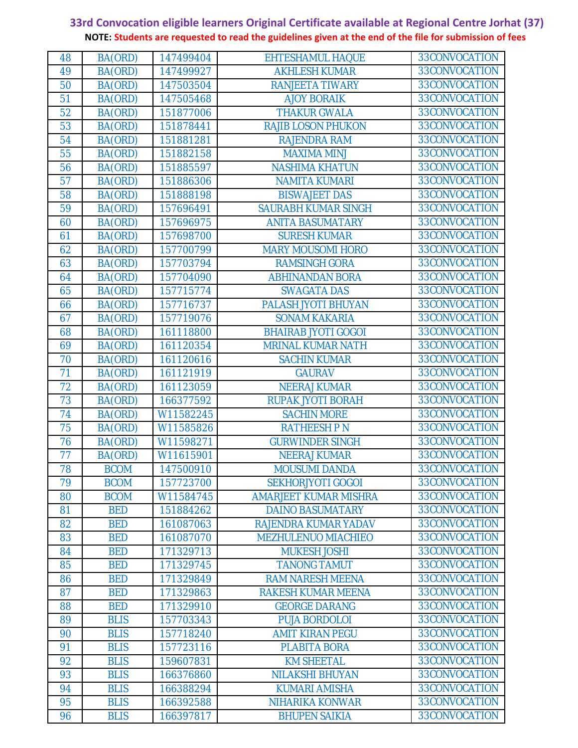| 48 | BA(ORD)     | 147499404 | <b>EHTESHAMUL HAQUE</b>    | 33CONVOCATION |
|----|-------------|-----------|----------------------------|---------------|
| 49 | BA(ORD)     | 147499927 | <b>AKHLESH KUMAR</b>       | 33CONVOCATION |
| 50 | BA(ORD)     | 147503504 | <b>RANJEETA TIWARY</b>     | 33CONVOCATION |
| 51 | BA(ORD)     | 147505468 | <b>AJOY BORAIK</b>         | 33CONVOCATION |
| 52 | BA(ORD)     | 151877006 | <b>THAKUR GWALA</b>        | 33CONVOCATION |
| 53 | BA(ORD)     | 151878441 | <b>RAJIB LOSON PHUKON</b>  | 33CONVOCATION |
| 54 | BA(ORD)     | 151881281 | <b>RAJENDRA RAM</b>        | 33CONVOCATION |
| 55 | BA(ORD)     | 151882158 | <b>MAXIMA MINJ</b>         | 33CONVOCATION |
| 56 | BA(ORD)     | 151885597 | <b>NASHIMA KHATUN</b>      | 33CONVOCATION |
| 57 | BA(ORD)     | 151886306 | <b>NAMITA KUMARI</b>       | 33CONVOCATION |
| 58 | BA(ORD)     | 151888198 | <b>BISWAJEET DAS</b>       | 33CONVOCATION |
| 59 | BA(ORD)     | 157696491 | <b>SAURABH KUMAR SINGH</b> | 33CONVOCATION |
| 60 | BA(ORD)     | 157696975 | <b>ANITA BASUMATARY</b>    | 33CONVOCATION |
| 61 | BA(ORD)     | 157698700 | <b>SURESH KUMAR</b>        | 33CONVOCATION |
| 62 | BA(ORD)     | 157700799 | <b>MARY MOUSOMI HORO</b>   | 33CONVOCATION |
| 63 | BA(ORD)     | 157703794 | <b>RAMSINGH GORA</b>       | 33CONVOCATION |
| 64 | BA(ORD)     | 157704090 | <b>ABHINANDAN BORA</b>     | 33CONVOCATION |
| 65 | BA(ORD)     | 157715774 | <b>SWAGATA DAS</b>         | 33CONVOCATION |
| 66 | BA(ORD)     | 157716737 | PALASH JYOTI BHUYAN        | 33CONVOCATION |
| 67 | BA(ORD)     | 157719076 | <b>SONAM KAKARIA</b>       | 33CONVOCATION |
| 68 | BA(ORD)     | 161118800 | <b>BHAIRAB JYOTI GOGOI</b> | 33CONVOCATION |
| 69 | BA(ORD)     | 161120354 | <b>MRINAL KUMAR NATH</b>   | 33CONVOCATION |
| 70 | BA(ORD)     | 161120616 | <b>SACHIN KUMAR</b>        | 33CONVOCATION |
| 71 | BA(ORD)     | 161121919 | <b>GAURAV</b>              | 33CONVOCATION |
| 72 | BA(ORD)     | 161123059 | <b>NEERAJ KUMAR</b>        | 33CONVOCATION |
| 73 | BA(ORD)     | 166377592 | <b>RUPAK JYOTI BORAH</b>   | 33CONVOCATION |
| 74 | BA(ORD)     | W11582245 | <b>SACHIN MORE</b>         | 33CONVOCATION |
| 75 | BA(ORD)     | W11585826 | <b>RATHEESH PN</b>         | 33CONVOCATION |
| 76 | BA(ORD)     | W11598271 | <b>GURWINDER SINGH</b>     | 33CONVOCATION |
| 77 | BA(ORD)     | W11615901 | <b>NEERAJ KUMAR</b>        | 33CONVOCATION |
| 78 | <b>BCOM</b> | 147500910 | <b>MOUSUMI DANDA</b>       | 33CONVOCATION |
| 79 | <b>BCOM</b> | 157723700 | <b>SEKHORJYOTI GOGOI</b>   | 33CONVOCATION |
| 80 | <b>BCOM</b> | W11584745 | AMARJEET KUMAR MISHRA      | 33CONVOCATION |
| 81 | <b>BED</b>  | 151884262 | <b>DAINO BASUMATARY</b>    | 33CONVOCATION |
| 82 | <b>BED</b>  | 161087063 | RAJENDRA KUMAR YADAV       | 33CONVOCATION |
| 83 | <b>BED</b>  | 161087070 | MEZHULENUO MIACHIEO        | 33CONVOCATION |
| 84 | <b>BED</b>  | 171329713 | <b>MUKESH JOSHI</b>        | 33CONVOCATION |
| 85 | <b>BED</b>  | 171329745 | <b>TANONG TAMUT</b>        | 33CONVOCATION |
| 86 | <b>BED</b>  | 171329849 | <b>RAM NARESH MEENA</b>    | 33CONVOCATION |
| 87 | <b>BED</b>  | 171329863 | <b>RAKESH KUMAR MEENA</b>  | 33CONVOCATION |
| 88 | <b>BED</b>  | 171329910 | <b>GEORGE DARANG</b>       | 33CONVOCATION |
| 89 | <b>BLIS</b> | 157703343 | <b>PUJA BORDOLOI</b>       | 33CONVOCATION |
| 90 | <b>BLIS</b> | 157718240 | <b>AMIT KIRAN PEGU</b>     | 33CONVOCATION |
| 91 | <b>BLIS</b> | 157723116 | <b>PLABITA BORA</b>        | 33CONVOCATION |
| 92 | <b>BLIS</b> | 159607831 | <b>KM SHEETAL</b>          | 33CONVOCATION |
| 93 | <b>BLIS</b> | 166376860 | <b>NILAKSHI BHUYAN</b>     | 33CONVOCATION |
| 94 | <b>BLIS</b> | 166388294 | <b>KUMARI AMISHA</b>       | 33CONVOCATION |
| 95 | <b>BLIS</b> | 166392588 | NIHARIKA KONWAR            | 33CONVOCATION |
| 96 | <b>BLIS</b> | 166397817 | <b>BHUPEN SAIKIA</b>       | 33CONVOCATION |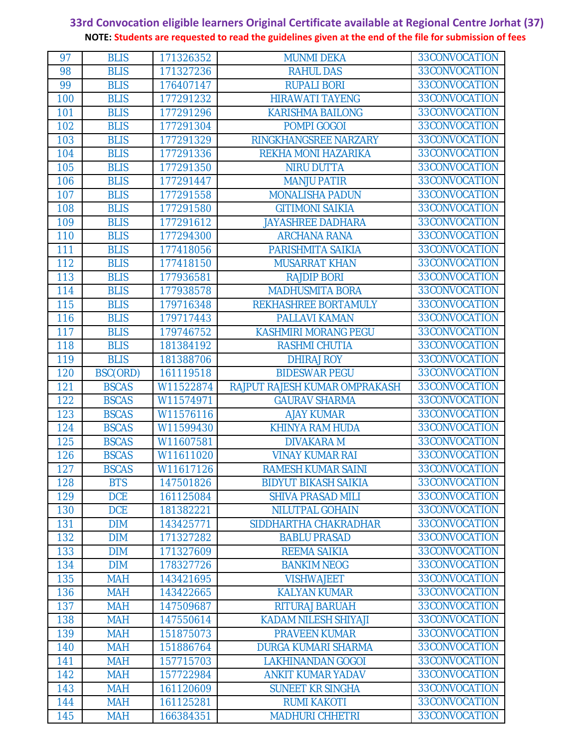| 97  | <b>BLIS</b>  | 171326352 | <b>MUNMI DEKA</b>             | 33CONVOCATION |
|-----|--------------|-----------|-------------------------------|---------------|
| 98  | <b>BLIS</b>  | 171327236 | <b>RAHUL DAS</b>              | 33CONVOCATION |
| 99  | <b>BLIS</b>  | 176407147 | <b>RUPALI BORI</b>            | 33CONVOCATION |
| 100 | <b>BLIS</b>  | 177291232 | <b>HIRAWATI TAYENG</b>        | 33CONVOCATION |
| 101 | <b>BLIS</b>  | 177291296 | <b>KARISHMA BAILONG</b>       | 33CONVOCATION |
| 102 | <b>BLIS</b>  | 177291304 | POMPI GOGOI                   | 33CONVOCATION |
| 103 | <b>BLIS</b>  | 177291329 | RINGKHANGSREE NARZARY         | 33CONVOCATION |
| 104 | <b>BLIS</b>  | 177291336 | REKHA MONI HAZARIKA           | 33CONVOCATION |
| 105 | <b>BLIS</b>  | 177291350 | <b>NIRU DUTTA</b>             | 33CONVOCATION |
| 106 | <b>BLIS</b>  | 177291447 | <b>MANJU PATIR</b>            | 33CONVOCATION |
| 107 | <b>BLIS</b>  | 177291558 | <b>MONALISHA PADUN</b>        | 33CONVOCATION |
| 108 | <b>BLIS</b>  | 177291580 | <b>GITIMONI SAIKIA</b>        | 33CONVOCATION |
| 109 | <b>BLIS</b>  | 177291612 | <b>JAYASHREE DADHARA</b>      | 33CONVOCATION |
| 110 | <b>BLIS</b>  | 177294300 | <b>ARCHANA RANA</b>           | 33CONVOCATION |
| 111 | <b>BLIS</b>  | 177418056 | PARISHMITA SAIKIA             | 33CONVOCATION |
| 112 | <b>BLIS</b>  | 177418150 | <b>MUSARRAT KHAN</b>          | 33CONVOCATION |
| 113 | <b>BLIS</b>  | 177936581 | <b>RAJDIP BORI</b>            | 33CONVOCATION |
| 114 | <b>BLIS</b>  | 177938578 | <b>MADHUSMITA BORA</b>        | 33CONVOCATION |
| 115 | <b>BLIS</b>  | 179716348 | REKHASHREE BORTAMULY          | 33CONVOCATION |
| 116 | <b>BLIS</b>  | 179717443 | <b>PALLAVI KAMAN</b>          | 33CONVOCATION |
| 117 | <b>BLIS</b>  | 179746752 | <b>KASHMIRI MORANG PEGU</b>   | 33CONVOCATION |
| 118 | <b>BLIS</b>  | 181384192 | <b>RASHMI CHUTIA</b>          | 33CONVOCATION |
| 119 | <b>BLIS</b>  | 181388706 | <b>DHIRAJ ROY</b>             | 33CONVOCATION |
| 120 | BSC(ORD)     | 161119518 | <b>BIDESWAR PEGU</b>          | 33CONVOCATION |
| 121 | <b>BSCAS</b> | W11522874 | RAJPUT RAJESH KUMAR OMPRAKASH | 33CONVOCATION |
| 122 | <b>BSCAS</b> | W11574971 | <b>GAURAV SHARMA</b>          | 33CONVOCATION |
| 123 | <b>BSCAS</b> | W11576116 | <b>AJAY KUMAR</b>             | 33CONVOCATION |
| 124 | <b>BSCAS</b> | W11599430 | <b>KHINYA RAM HUDA</b>        | 33CONVOCATION |
| 125 | <b>BSCAS</b> | W11607581 | <b>DIVAKARAM</b>              | 33CONVOCATION |
| 126 | <b>BSCAS</b> | W11611020 | <b>VINAY KUMAR RAI</b>        | 33CONVOCATION |
| 127 | <b>BSCAS</b> | W11617126 | <b>RAMESH KUMAR SAINI</b>     | 33CONVOCATION |
| 128 | <b>BTS</b>   | 147501826 | <b>BIDYUT BIKASH SAIKIA</b>   | 33CONVOCATION |
| 129 | <b>DCE</b>   | 161125084 | <b>SHIVA PRASAD MILI</b>      | 33CONVOCATION |
| 130 | <b>DCE</b>   | 181382221 | <b>NILUTPAL GOHAIN</b>        | 33CONVOCATION |
| 131 | <b>DIM</b>   | 143425771 | SIDDHARTHA CHAKRADHAR         | 33CONVOCATION |
| 132 | <b>DIM</b>   | 171327282 | <b>BABLU PRASAD</b>           | 33CONVOCATION |
| 133 | <b>DIM</b>   | 171327609 | <b>REEMA SAIKIA</b>           | 33CONVOCATION |
| 134 | <b>DIM</b>   | 178327726 | <b>BANKIM NEOG</b>            | 33CONVOCATION |
| 135 | <b>MAH</b>   | 143421695 | <b>VISHWAJEET</b>             | 33CONVOCATION |
| 136 | <b>MAH</b>   | 143422665 | <b>KALYAN KUMAR</b>           | 33CONVOCATION |
| 137 | <b>MAH</b>   | 147509687 | <b>RITURAJ BARUAH</b>         | 33CONVOCATION |
| 138 | <b>MAH</b>   | 147550614 | <b>KADAM NILESH SHIYAJI</b>   | 33CONVOCATION |
| 139 | <b>MAH</b>   | 151875073 | <b>PRAVEEN KUMAR</b>          | 33CONVOCATION |
| 140 | <b>MAH</b>   | 151886764 | <b>DURGA KUMARI SHARMA</b>    | 33CONVOCATION |
| 141 | <b>MAH</b>   | 157715703 | <b>LAKHINANDAN GOGOI</b>      | 33CONVOCATION |
| 142 | <b>MAH</b>   | 157722984 | <b>ANKIT KUMAR YADAV</b>      | 33CONVOCATION |
| 143 | <b>MAH</b>   | 161120609 | <b>SUNEET KR SINGHA</b>       | 33CONVOCATION |
| 144 | <b>MAH</b>   | 161125281 | <b>RUMI KAKOTI</b>            | 33CONVOCATION |
| 145 | <b>MAH</b>   | 166384351 | <b>MADHURI CHHETRI</b>        | 33CONVOCATION |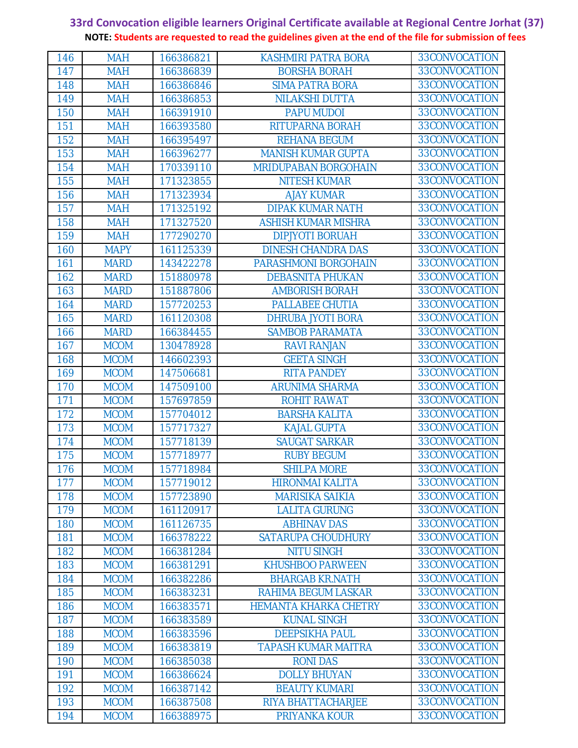| 146 | <b>MAH</b>  | 166386821 | KASHMIRI PATRA BORA          | 33CONVOCATION |
|-----|-------------|-----------|------------------------------|---------------|
| 147 | <b>MAH</b>  | 166386839 | <b>BORSHA BORAH</b>          | 33CONVOCATION |
| 148 | <b>MAH</b>  | 166386846 | <b>SIMA PATRA BORA</b>       | 33CONVOCATION |
| 149 | <b>MAH</b>  | 166386853 | <b>NILAKSHI DUTTA</b>        | 33CONVOCATION |
| 150 | <b>MAH</b>  | 166391910 | <b>PAPU MUDOI</b>            | 33CONVOCATION |
| 151 | <b>MAH</b>  | 166393580 | RITUPARNA BORAH              | 33CONVOCATION |
| 152 | <b>MAH</b>  | 166395497 | <b>REHANA BEGUM</b>          | 33CONVOCATION |
| 153 | <b>MAH</b>  | 166396277 | <b>MANISH KUMAR GUPTA</b>    | 33CONVOCATION |
| 154 | <b>MAH</b>  | 170339110 | <b>MRIDUPABAN BORGOHAIN</b>  | 33CONVOCATION |
| 155 | <b>MAH</b>  | 171323855 | <b>NITESH KUMAR</b>          | 33CONVOCATION |
| 156 | <b>MAH</b>  | 171323934 | <b>AJAY KUMAR</b>            | 33CONVOCATION |
| 157 | <b>MAH</b>  | 171325192 | <b>DIPAK KUMAR NATH</b>      | 33CONVOCATION |
| 158 | <b>MAH</b>  | 171327520 | <b>ASHISH KUMAR MISHRA</b>   | 33CONVOCATION |
| 159 | <b>MAH</b>  | 177290270 | <b>DIPJYOTI BORUAH</b>       | 33CONVOCATION |
| 160 | <b>MAPY</b> | 161125339 | <b>DINESH CHANDRA DAS</b>    | 33CONVOCATION |
| 161 | <b>MARD</b> | 143422278 | PARASHMONI BORGOHAIN         | 33CONVOCATION |
| 162 | <b>MARD</b> | 151880978 | <b>DEBASNITA PHUKAN</b>      | 33CONVOCATION |
| 163 | <b>MARD</b> | 151887806 | <b>AMBORISH BORAH</b>        | 33CONVOCATION |
| 164 | <b>MARD</b> | 157720253 | PALLABEE CHUTIA              | 33CONVOCATION |
| 165 | <b>MARD</b> | 161120308 | <b>DHRUBA JYOTI BORA</b>     | 33CONVOCATION |
| 166 | <b>MARD</b> | 166384455 | <b>SAMBOB PARAMATA</b>       | 33CONVOCATION |
| 167 | <b>MCOM</b> | 130478928 | <b>RAVI RANJAN</b>           | 33CONVOCATION |
| 168 | <b>MCOM</b> | 146602393 | <b>GEETA SINGH</b>           | 33CONVOCATION |
| 169 | <b>MCOM</b> | 147506681 | <b>RITA PANDEY</b>           | 33CONVOCATION |
| 170 | <b>MCOM</b> | 147509100 | <b>ARUNIMA SHARMA</b>        | 33CONVOCATION |
| 171 | <b>MCOM</b> | 157697859 | <b>ROHIT RAWAT</b>           | 33CONVOCATION |
| 172 | <b>MCOM</b> | 157704012 | <b>BARSHA KALITA</b>         | 33CONVOCATION |
| 173 | <b>MCOM</b> | 157717327 | <b>KAJAL GUPTA</b>           | 33CONVOCATION |
| 174 | <b>MCOM</b> | 157718139 | <b>SAUGAT SARKAR</b>         | 33CONVOCATION |
| 175 | <b>MCOM</b> | 157718977 | <b>RUBY BEGUM</b>            | 33CONVOCATION |
| 176 | <b>MCOM</b> | 157718984 | <b>SHILPA MORE</b>           | 33CONVOCATION |
| 177 | <b>MCOM</b> | 157719012 | <b>HIRONMAI KALITA</b>       | 33CONVOCATION |
| 178 | <b>MCOM</b> | 157723890 | <b>MARISIKA SAIKIA</b>       | 33CONVOCATION |
| 179 | <b>MCOM</b> | 161120917 | <b>LALITA GURUNG</b>         | 33CONVOCATION |
| 180 | <b>MCOM</b> | 161126735 | <b>ABHINAV DAS</b>           | 33CONVOCATION |
| 181 | <b>MCOM</b> | 166378222 | <b>SATARUPA CHOUDHURY</b>    | 33CONVOCATION |
| 182 | <b>MCOM</b> | 166381284 | <b>NITU SINGH</b>            | 33CONVOCATION |
| 183 | <b>MCOM</b> | 166381291 | <b>KHUSHBOO PARWEEN</b>      | 33CONVOCATION |
| 184 | <b>MCOM</b> | 166382286 | <b>BHARGAB KR.NATH</b>       | 33CONVOCATION |
| 185 | <b>MCOM</b> | 166383231 | RAHIMA BEGUM LASKAR          | 33CONVOCATION |
| 186 | <b>MCOM</b> | 166383571 | <b>HEMANTA KHARKA CHETRY</b> | 33CONVOCATION |
| 187 | <b>MCOM</b> | 166383589 | <b>KUNAL SINGH</b>           | 33CONVOCATION |
| 188 | <b>MCOM</b> | 166383596 | <b>DEEPSIKHA PAUL</b>        | 33CONVOCATION |
| 189 | <b>MCOM</b> | 166383819 | <b>TAPASH KUMAR MAITRA</b>   | 33CONVOCATION |
| 190 | <b>MCOM</b> | 166385038 | <b>RONIDAS</b>               | 33CONVOCATION |
| 191 | <b>MCOM</b> | 166386624 | <b>DOLLY BHUYAN</b>          | 33CONVOCATION |
| 192 | <b>MCOM</b> | 166387142 | <b>BEAUTY KUMARI</b>         | 33CONVOCATION |
| 193 | <b>MCOM</b> | 166387508 | RIYA BHATTACHARJEE           | 33CONVOCATION |
| 194 | <b>MCOM</b> | 166388975 | PRIYANKA KOUR                | 33CONVOCATION |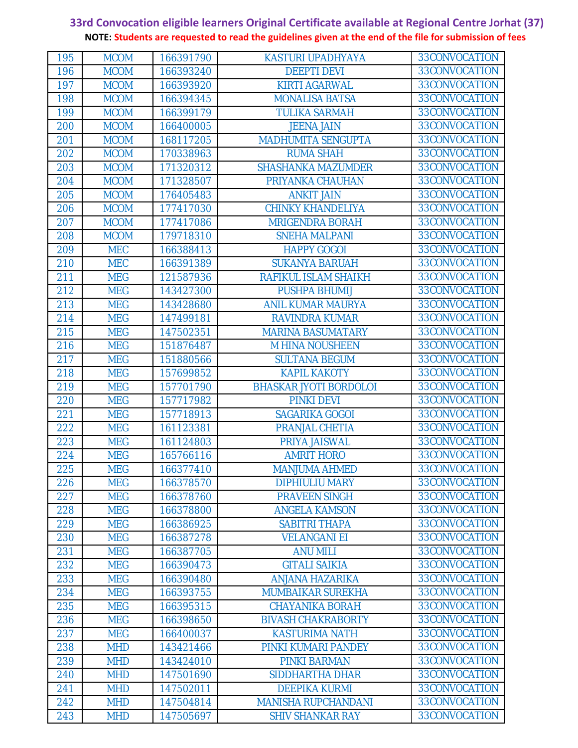| 195 | <b>MCOM</b> | 166391790 | <b>KASTURI UPADHYAYA</b>      | 33CONVOCATION |
|-----|-------------|-----------|-------------------------------|---------------|
| 196 | <b>MCOM</b> | 166393240 | <b>DEEPTI DEVI</b>            | 33CONVOCATION |
| 197 | <b>MCOM</b> | 166393920 | <b>KIRTI AGARWAL</b>          | 33CONVOCATION |
| 198 | <b>MCOM</b> | 166394345 | <b>MONALISA BATSA</b>         | 33CONVOCATION |
| 199 | <b>MCOM</b> | 166399179 | <b>TULIKA SARMAH</b>          | 33CONVOCATION |
| 200 | <b>MCOM</b> | 166400005 | <b>JEENA JAIN</b>             | 33CONVOCATION |
| 201 | <b>MCOM</b> | 168117205 | <b>MADHUMITA SENGUPTA</b>     | 33CONVOCATION |
| 202 | <b>MCOM</b> | 170338963 | <b>RUMA SHAH</b>              | 33CONVOCATION |
| 203 | <b>MCOM</b> | 171320312 | <b>SHASHANKA MAZUMDER</b>     | 33CONVOCATION |
| 204 | <b>MCOM</b> | 171328507 | PRIYANKA CHAUHAN              | 33CONVOCATION |
| 205 | <b>MCOM</b> | 176405483 | <b>ANKIT JAIN</b>             | 33CONVOCATION |
| 206 | <b>MCOM</b> | 177417030 | <b>CHINKY KHANDELIYA</b>      | 33CONVOCATION |
| 207 | <b>MCOM</b> | 177417086 | <b>MRIGENDRA BORAH</b>        | 33CONVOCATION |
| 208 | <b>MCOM</b> | 179718310 | <b>SNEHA MALPANI</b>          | 33CONVOCATION |
| 209 | <b>MEC</b>  | 166388413 | <b>HAPPY GOGOI</b>            | 33CONVOCATION |
| 210 | <b>MEC</b>  | 166391389 | <b>SUKANYA BARUAH</b>         | 33CONVOCATION |
| 211 | <b>MEG</b>  | 121587936 | RAFIKUL ISLAM SHAIKH          | 33CONVOCATION |
| 212 | <b>MEG</b>  | 143427300 | <b>PUSHPA BHUMIJ</b>          | 33CONVOCATION |
| 213 | <b>MEG</b>  | 143428680 | <b>ANIL KUMAR MAURYA</b>      | 33CONVOCATION |
| 214 | <b>MEG</b>  | 147499181 | <b>RAVINDRA KUMAR</b>         | 33CONVOCATION |
| 215 | <b>MEG</b>  | 147502351 | <b>MARINA BASUMATARY</b>      | 33CONVOCATION |
| 216 | <b>MEG</b>  | 151876487 | <b>M HINA NOUSHEEN</b>        | 33CONVOCATION |
| 217 | <b>MEG</b>  | 151880566 | <b>SULTANA BEGUM</b>          | 33CONVOCATION |
| 218 | <b>MEG</b>  | 157699852 | <b>KAPIL KAKOTY</b>           | 33CONVOCATION |
| 219 | <b>MEG</b>  | 157701790 | <b>BHASKAR JYOTI BORDOLOI</b> | 33CONVOCATION |
| 220 | <b>MEG</b>  | 157717982 | <b>PINKI DEVI</b>             | 33CONVOCATION |
| 221 | <b>MEG</b>  | 157718913 | SAGARIKA GOGOI                | 33CONVOCATION |
| 222 | <b>MEG</b>  | 161123381 | PRANJAL CHETIA                | 33CONVOCATION |
| 223 | <b>MEG</b>  | 161124803 | PRIYA JAISWAL                 | 33CONVOCATION |
| 224 | <b>MEG</b>  | 165766116 | <b>AMRIT HORO</b>             | 33CONVOCATION |
| 225 | <b>MEG</b>  | 166377410 | <b>MANJUMA AHMED</b>          | 33CONVOCATION |
| 226 | <b>MEG</b>  | 166378570 | <b>DIPHIULIU MARY</b>         | 33CONVOCATION |
| 227 | <b>MEG</b>  | 166378760 | <b>PRAVEEN SINGH</b>          | 33CONVOCATION |
| 228 | <b>MEG</b>  | 166378800 | <b>ANGELA KAMSON</b>          | 33CONVOCATION |
| 229 | <b>MEG</b>  | 166386925 | <b>SABITRI THAPA</b>          | 33CONVOCATION |
| 230 | <b>MEG</b>  | 166387278 | <b>VELANGANI EI</b>           | 33CONVOCATION |
| 231 | <b>MEG</b>  | 166387705 | <b>ANU MILI</b>               | 33CONVOCATION |
| 232 | <b>MEG</b>  | 166390473 | <b>GITALI SAIKIA</b>          | 33CONVOCATION |
| 233 | <b>MEG</b>  | 166390480 | <b>ANJANA HAZARIKA</b>        | 33CONVOCATION |
| 234 | <b>MEG</b>  | 166393755 | <b>MUMBAIKAR SUREKHA</b>      | 33CONVOCATION |
| 235 | <b>MEG</b>  | 166395315 | <b>CHAYANIKA BORAH</b>        | 33CONVOCATION |
| 236 | <b>MEG</b>  | 166398650 | <b>BIVASH CHAKRABORTY</b>     | 33CONVOCATION |
| 237 | <b>MEG</b>  | 166400037 | <b>KASTURIMA NATH</b>         | 33CONVOCATION |
| 238 | <b>MHD</b>  | 143421466 | PINKI KUMARI PANDEY           | 33CONVOCATION |
| 239 | <b>MHD</b>  | 143424010 | <b>PINKI BARMAN</b>           | 33CONVOCATION |
| 240 | <b>MHD</b>  | 147501690 | <b>SIDDHARTHA DHAR</b>        | 33CONVOCATION |
| 241 | <b>MHD</b>  | 147502011 | <b>DEEPIKA KURMI</b>          | 33CONVOCATION |
| 242 | <b>MHD</b>  | 147504814 | <b>MANISHA RUPCHANDANI</b>    | 33CONVOCATION |
| 243 | <b>MHD</b>  | 147505697 | <b>SHIV SHANKAR RAY</b>       | 33CONVOCATION |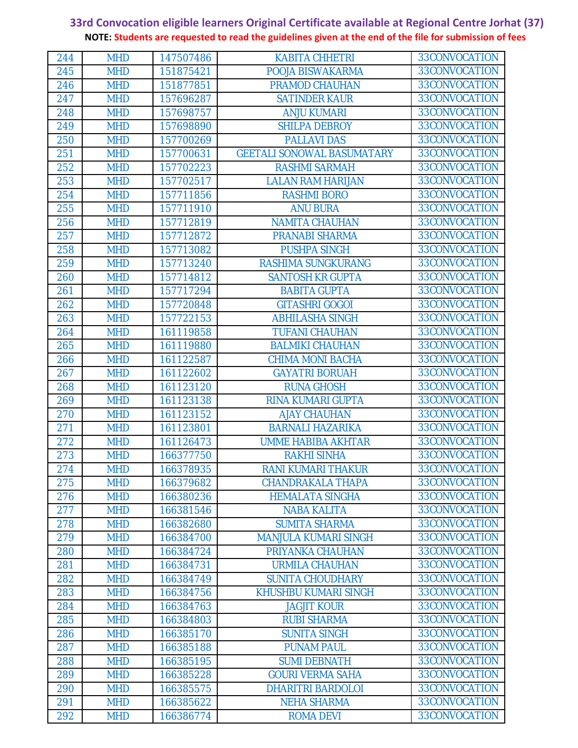| 244 | <b>MHD</b> | 147507486 | <b>KABITA CHHETRI</b>             | 33CONVOCATION |
|-----|------------|-----------|-----------------------------------|---------------|
| 245 | <b>MHD</b> | 151875421 | POOJA BISWAKARMA                  | 33CONVOCATION |
| 246 | <b>MHD</b> | 151877851 | <b>PRAMOD CHAUHAN</b>             | 33CONVOCATION |
| 247 | <b>MHD</b> | 157696287 | <b>SATINDER KAUR</b>              | 33CONVOCATION |
| 248 | <b>MHD</b> | 157698757 | <b>ANJU KUMARI</b>                | 33CONVOCATION |
| 249 | <b>MHD</b> | 157698890 | <b>SHILPA DEBROY</b>              | 33CONVOCATION |
| 250 | <b>MHD</b> | 157700269 | <b>PALLAVI DAS</b>                | 33CONVOCATION |
| 251 | <b>MHD</b> | 157700631 | <b>GEETALI SONOWAL BASUMATARY</b> | 33CONVOCATION |
| 252 | <b>MHD</b> | 157702223 | <b>RASHMI SARMAH</b>              | 33CONVOCATION |
| 253 | <b>MHD</b> | 157702517 | <b>LALAN RAM HARIJAN</b>          | 33CONVOCATION |
| 254 | <b>MHD</b> | 157711856 | <b>RASHMI BORO</b>                | 33CONVOCATION |
| 255 | <b>MHD</b> | 157711910 | <b>ANU BURA</b>                   | 33CONVOCATION |
| 256 | <b>MHD</b> | 157712819 | <b>NAMITA CHAUHAN</b>             | 33CONVOCATION |
| 257 | <b>MHD</b> | 157712872 | <b>PRANABI SHARMA</b>             | 33CONVOCATION |
| 258 | <b>MHD</b> | 157713082 | <b>PUSHPA SINGH</b>               | 33CONVOCATION |
| 259 | <b>MHD</b> | 157713240 | RASHIMA SUNGKURANG                | 33CONVOCATION |
| 260 | <b>MHD</b> | 157714812 | <b>SANTOSH KR GUPTA</b>           | 33CONVOCATION |
| 261 | <b>MHD</b> | 157717294 | <b>BABITA GUPTA</b>               | 33CONVOCATION |
| 262 | <b>MHD</b> | 157720848 | <b>GITASHRI GOGOI</b>             | 33CONVOCATION |
| 263 | <b>MHD</b> | 157722153 | <b>ABHILASHA SINGH</b>            | 33CONVOCATION |
| 264 | <b>MHD</b> | 161119858 | <b>TUFANI CHAUHAN</b>             | 33CONVOCATION |
| 265 | <b>MHD</b> | 161119880 | <b>BALMIKI CHAUHAN</b>            | 33CONVOCATION |
| 266 | <b>MHD</b> | 161122587 | <b>CHIMA MONI BACHA</b>           | 33CONVOCATION |
| 267 | <b>MHD</b> | 161122602 | <b>GAYATRI BORUAH</b>             | 33CONVOCATION |
| 268 | <b>MHD</b> | 161123120 | <b>RUNA GHOSH</b>                 | 33CONVOCATION |
| 269 | <b>MHD</b> | 161123138 | <b>RINA KUMARI GUPTA</b>          | 33CONVOCATION |
| 270 | <b>MHD</b> | 161123152 | <b>AJAY CHAUHAN</b>               | 33CONVOCATION |
| 271 | <b>MHD</b> | 161123801 | <b>BARNALI HAZARIKA</b>           | 33CONVOCATION |
| 272 | <b>MHD</b> | 161126473 | <b>UMME HABIBA AKHTAR</b>         | 33CONVOCATION |
| 273 | <b>MHD</b> | 166377750 | <b>RAKHI SINHA</b>                | 33CONVOCATION |
| 274 | <b>MHD</b> | 166378935 | <b>RANI KUMARI THAKUR</b>         | 33CONVOCATION |
| 275 | <b>MHD</b> | 166379682 | <b>CHANDRAKALA THAPA</b>          | 33CONVOCATION |
| 276 | <b>MHD</b> | 166380236 | <b>HEMALATA SINGHA</b>            | 33CONVOCATION |
| 277 | <b>MHD</b> | 166381546 | <b>NABA KALITA</b>                | 33CONVOCATION |
| 278 | <b>MHD</b> | 166382680 | <b>SUMITA SHARMA</b>              | 33CONVOCATION |
| 279 | <b>MHD</b> | 166384700 | <b>MANJULA KUMARI SINGH</b>       | 33CONVOCATION |
| 280 | <b>MHD</b> | 166384724 | PRIYANKA CHAUHAN                  | 33CONVOCATION |
| 281 | <b>MHD</b> | 166384731 | <b>URMILA CHAUHAN</b>             | 33CONVOCATION |
| 282 | <b>MHD</b> | 166384749 | <b>SUNITA CHOUDHARY</b>           | 33CONVOCATION |
| 283 | <b>MHD</b> | 166384756 | <b>KHUSHBU KUMARI SINGH</b>       | 33CONVOCATION |
| 284 | <b>MHD</b> | 166384763 | <b>JAGJIT KOUR</b>                | 33CONVOCATION |
| 285 | <b>MHD</b> | 166384803 | <b>RUBI SHARMA</b>                | 33CONVOCATION |
| 286 | <b>MHD</b> | 166385170 | <b>SUNITA SINGH</b>               | 33CONVOCATION |
| 287 | <b>MHD</b> | 166385188 | <b>PUNAM PAUL</b>                 | 33CONVOCATION |
| 288 | <b>MHD</b> | 166385195 | <b>SUMI DEBNATH</b>               | 33CONVOCATION |
| 289 | <b>MHD</b> | 166385228 | <b>GOURI VERMA SAHA</b>           | 33CONVOCATION |
| 290 | <b>MHD</b> | 166385575 | <b>DHARITRI BARDOLOI</b>          | 33CONVOCATION |
| 291 | <b>MHD</b> | 166385622 | <b>NEHA SHARMA</b>                | 33CONVOCATION |
| 292 | <b>MHD</b> | 166386774 | <b>ROMA DEVI</b>                  | 33CONVOCATION |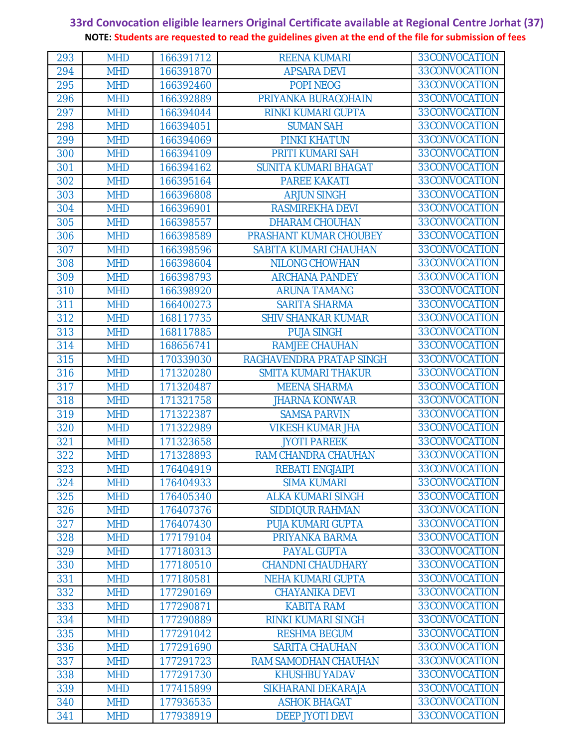| 293        | <b>MHD</b>               | 166391712              | <b>REENA KUMARI</b>                            | 33CONVOCATION                  |
|------------|--------------------------|------------------------|------------------------------------------------|--------------------------------|
| 294        | <b>MHD</b>               | 166391870              | <b>APSARA DEVI</b>                             | 33CONVOCATION                  |
| 295        | <b>MHD</b>               | 166392460              | POPI NEOG                                      | 33CONVOCATION                  |
| 296        | <b>MHD</b>               | 166392889              | PRIYANKA BURAGOHAIN                            | 33CONVOCATION                  |
| 297        | <b>MHD</b>               | 166394044              | RINKI KUMARI GUPTA                             | 33CONVOCATION                  |
| 298        | <b>MHD</b>               | 166394051              | <b>SUMAN SAH</b>                               | 33CONVOCATION                  |
| 299        | <b>MHD</b>               | 166394069              | <b>PINKI KHATUN</b>                            | 33CONVOCATION                  |
| 300        | <b>MHD</b>               | 166394109              | PRITI KUMARI SAH                               | 33CONVOCATION                  |
| 301        | <b>MHD</b>               | 166394162              | <b>SUNITA KUMARI BHAGAT</b>                    | 33CONVOCATION                  |
| 302        | <b>MHD</b>               | 166395164              | <b>PAREE KAKATI</b>                            | 33CONVOCATION                  |
| 303        | <b>MHD</b>               | 166396808              | <b>ARJUN SINGH</b>                             | 33CONVOCATION                  |
| 304        | <b>MHD</b>               | 166396901              | RASMIREKHA DEVI                                | 33CONVOCATION                  |
| 305        | <b>MHD</b>               | 166398557              | <b>DHARAM CHOUHAN</b>                          | 33CONVOCATION                  |
| 306        | <b>MHD</b>               | 166398589              | PRASHANT KUMAR CHOUBEY                         | 33CONVOCATION                  |
| 307        | <b>MHD</b>               | 166398596              | SABITA KUMARI CHAUHAN                          | 33CONVOCATION                  |
| 308        | <b>MHD</b>               | 166398604              | <b>NILONG CHOWHAN</b>                          | 33CONVOCATION                  |
| 309        | <b>MHD</b>               | 166398793              | <b>ARCHANA PANDEY</b>                          | 33CONVOCATION                  |
| 310        | <b>MHD</b>               | 166398920              | <b>ARUNA TAMANG</b>                            | 33CONVOCATION                  |
| 311        | <b>MHD</b>               | 166400273              | <b>SARITA SHARMA</b>                           | 33CONVOCATION                  |
| 312        | <b>MHD</b>               | 168117735              | <b>SHIV SHANKAR KUMAR</b>                      | 33CONVOCATION                  |
| 313        | <b>MHD</b>               | 168117885              | <b>PUJA SINGH</b>                              | 33CONVOCATION                  |
| 314        | <b>MHD</b>               | 168656741              | <b>RAMJEE CHAUHAN</b>                          | 33CONVOCATION                  |
| 315        | <b>MHD</b>               | 170339030              | RAGHAVENDRA PRATAP SINGH                       | 33CONVOCATION                  |
| 316        | <b>MHD</b>               | 171320280              | <b>SMITA KUMARI THAKUR</b>                     | 33CONVOCATION<br>33CONVOCATION |
| 317        | <b>MHD</b>               | 171320487              | <b>MEENA SHARMA</b>                            | 33CONVOCATION                  |
| 318<br>319 | <b>MHD</b><br><b>MHD</b> | 171321758              | <b>JHARNA KONWAR</b>                           | 33CONVOCATION                  |
| 320        | <b>MHD</b>               | 171322387<br>171322989 | <b>SAMSA PARVIN</b><br><b>VIKESH KUMAR JHA</b> | 33CONVOCATION                  |
| 321        | <b>MHD</b>               | 171323658              | <b>JYOTI PAREEK</b>                            | 33CONVOCATION                  |
| 322        | <b>MHD</b>               | 171328893              | RAM CHANDRA CHAUHAN                            | 33CONVOCATION                  |
| 323        | <b>MHD</b>               | 176404919              | <b>REBATI ENGJAIPI</b>                         | 33CONVOCATION                  |
| 324        | <b>MHD</b>               | 176404933              | <b>SIMA KUMARI</b>                             | 33CONVOCATION                  |
| 325        | <b>MHD</b>               | 176405340              | <b>ALKA KUMARI SINGH</b>                       | 33CONVOCATION                  |
| 326        | <b>MHD</b>               | 176407376              | <b>SIDDIQUR RAHMAN</b>                         | 33CONVOCATION                  |
| 327        | <b>MHD</b>               | 176407430              | <b>PUJA KUMARI GUPTA</b>                       | 33CONVOCATION                  |
| 328        | <b>MHD</b>               | 177179104              | PRIYANKA BARMA                                 | 33CONVOCATION                  |
| 329        | <b>MHD</b>               | 177180313              | <b>PAYAL GUPTA</b>                             | 33CONVOCATION                  |
| 330        | <b>MHD</b>               | 177180510              | <b>CHANDNI CHAUDHARY</b>                       | 33CONVOCATION                  |
| 331        | <b>MHD</b>               | 177180581              | <b>NEHA KUMARI GUPTA</b>                       | 33CONVOCATION                  |
| 332        | <b>MHD</b>               | 177290169              | <b>CHAYANIKA DEVI</b>                          | 33CONVOCATION                  |
| 333        | <b>MHD</b>               | 177290871              | <b>KABITA RAM</b>                              | 33CONVOCATION                  |
| 334        | <b>MHD</b>               | 177290889              | <b>RINKI KUMARI SINGH</b>                      | 33CONVOCATION                  |
| 335        | <b>MHD</b>               | 177291042              | <b>RESHMA BEGUM</b>                            | 33CONVOCATION                  |
| 336        | <b>MHD</b>               | 177291690              | <b>SARITA CHAUHAN</b>                          | 33CONVOCATION                  |
| 337        | <b>MHD</b>               | 177291723              | RAM SAMODHAN CHAUHAN                           | 33CONVOCATION                  |
| 338        | <b>MHD</b>               | 177291730              | <b>KHUSHBU YADAV</b>                           | 33CONVOCATION                  |
| 339        | <b>MHD</b>               | 177415899              | SIKHARANI DEKARAJA                             | 33CONVOCATION                  |
| 340        | <b>MHD</b>               | 177936535              | <b>ASHOK BHAGAT</b>                            | 33CONVOCATION                  |
| 341        | <b>MHD</b>               | 177938919              | <b>DEEP JYOTI DEVI</b>                         | 33CONVOCATION                  |
|            |                          |                        |                                                |                                |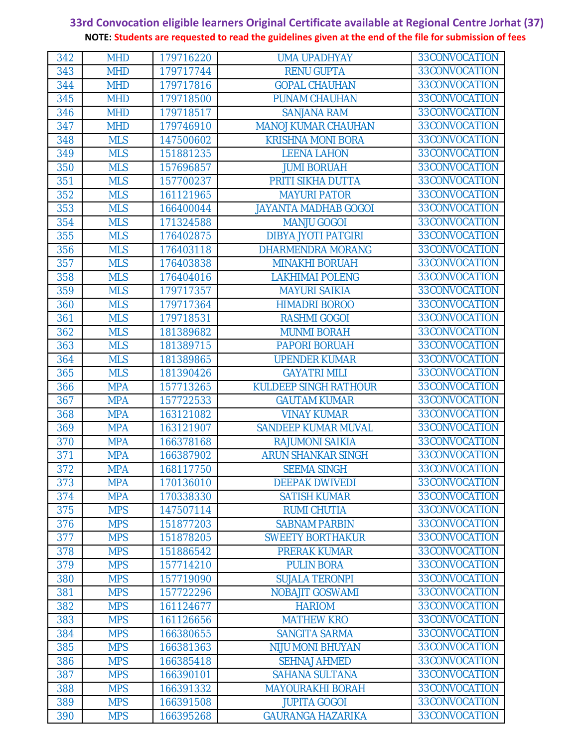| 342 | <b>MHD</b> | 179716220 | <b>UMA UPADHYAY</b>          | 33CONVOCATION |  |
|-----|------------|-----------|------------------------------|---------------|--|
| 343 | <b>MHD</b> | 179717744 | <b>RENU GUPTA</b>            | 33CONVOCATION |  |
| 344 | <b>MHD</b> | 179717816 | <b>GOPAL CHAUHAN</b>         | 33CONVOCATION |  |
| 345 | <b>MHD</b> | 179718500 | <b>PUNAM CHAUHAN</b>         | 33CONVOCATION |  |
| 346 | <b>MHD</b> | 179718517 | <b>SANJANA RAM</b>           | 33CONVOCATION |  |
| 347 | <b>MHD</b> | 179746910 | <b>MANOJ KUMAR CHAUHAN</b>   | 33CONVOCATION |  |
| 348 | <b>MLS</b> | 147500602 | <b>KRISHNA MONI BORA</b>     | 33CONVOCATION |  |
| 349 | <b>MLS</b> | 151881235 | <b>LEENA LAHON</b>           | 33CONVOCATION |  |
| 350 | <b>MLS</b> | 157696857 | <b>JUMI BORUAH</b>           | 33CONVOCATION |  |
| 351 | <b>MLS</b> | 157700237 | PRITI SIKHA DUTTA            | 33CONVOCATION |  |
| 352 | <b>MLS</b> | 161121965 | <b>MAYURI PATOR</b>          | 33CONVOCATION |  |
| 353 | <b>MLS</b> | 166400044 | <b>JAYANTA MADHAB GOGOI</b>  | 33CONVOCATION |  |
| 354 | <b>MLS</b> | 171324588 | <b>MANJU GOGOI</b>           | 33CONVOCATION |  |
| 355 | <b>MLS</b> | 176402875 | <b>DIBYA JYOTI PATGIRI</b>   | 33CONVOCATION |  |
| 356 | <b>MLS</b> | 176403118 | <b>DHARMENDRA MORANG</b>     | 33CONVOCATION |  |
| 357 | <b>MLS</b> | 176403838 | <b>MINAKHI BORUAH</b>        | 33CONVOCATION |  |
| 358 | <b>MLS</b> | 176404016 | <b>LAKHIMAI POLENG</b>       | 33CONVOCATION |  |
| 359 | <b>MLS</b> | 179717357 | <b>MAYURI SAIKIA</b>         | 33CONVOCATION |  |
| 360 | <b>MLS</b> | 179717364 | <b>HIMADRI BOROO</b>         | 33CONVOCATION |  |
| 361 | <b>MLS</b> | 179718531 | <b>RASHMI GOGOI</b>          | 33CONVOCATION |  |
| 362 | <b>MLS</b> | 181389682 | <b>MUNMI BORAH</b>           | 33CONVOCATION |  |
| 363 | <b>MLS</b> | 181389715 | <b>PAPORI BORUAH</b>         | 33CONVOCATION |  |
| 364 | <b>MLS</b> | 181389865 | <b>UPENDER KUMAR</b>         | 33CONVOCATION |  |
| 365 | <b>MLS</b> | 181390426 | <b>GAYATRI MILI</b>          | 33CONVOCATION |  |
| 366 | <b>MPA</b> | 157713265 | <b>KULDEEP SINGH RATHOUR</b> | 33CONVOCATION |  |
| 367 | <b>MPA</b> | 157722533 | <b>GAUTAM KUMAR</b>          | 33CONVOCATION |  |
| 368 | <b>MPA</b> | 163121082 | <b>VINAY KUMAR</b>           | 33CONVOCATION |  |
| 369 | <b>MPA</b> | 163121907 | <b>SANDEEP KUMAR MUVAL</b>   | 33CONVOCATION |  |
| 370 | <b>MPA</b> | 166378168 | <b>RAJUMONI SAIKIA</b>       | 33CONVOCATION |  |
| 371 | <b>MPA</b> | 166387902 | <b>ARUN SHANKAR SINGH</b>    | 33CONVOCATION |  |
| 372 | <b>MPA</b> | 168117750 | <b>SEEMA SINGH</b>           | 33CONVOCATION |  |
| 373 | <b>MPA</b> | 170136010 | <b>DEEPAK DWIVEDI</b>        | 33CONVOCATION |  |
| 374 | <b>MPA</b> | 170338330 | <b>SATISH KUMAR</b>          | 33CONVOCATION |  |
| 375 | <b>MPS</b> | 147507114 | <b>RUMI CHUTIA</b>           | 33CONVOCATION |  |
| 376 | <b>MPS</b> | 151877203 | <b>SABNAM PARBIN</b>         | 33CONVOCATION |  |
| 377 | <b>MPS</b> | 151878205 | <b>SWEETY BORTHAKUR</b>      | 33CONVOCATION |  |
| 378 | <b>MPS</b> | 151886542 | <b>PRERAK KUMAR</b>          | 33CONVOCATION |  |
| 379 | <b>MPS</b> | 157714210 | <b>PULIN BORA</b>            | 33CONVOCATION |  |
| 380 | <b>MPS</b> | 157719090 | <b>SUJALA TERONPI</b>        | 33CONVOCATION |  |
| 381 | <b>MPS</b> | 157722296 | <b>NOBAJIT GOSWAMI</b>       | 33CONVOCATION |  |
| 382 | <b>MPS</b> | 161124677 | <b>HARIOM</b>                | 33CONVOCATION |  |
| 383 | <b>MPS</b> | 161126656 | <b>MATHEW KRO</b>            | 33CONVOCATION |  |
| 384 | <b>MPS</b> | 166380655 | <b>SANGITA SARMA</b>         | 33CONVOCATION |  |
| 385 | <b>MPS</b> | 166381363 | <b>NIJU MONI BHUYAN</b>      | 33CONVOCATION |  |
| 386 | <b>MPS</b> | 166385418 | <b>SEHNAJ AHMED</b>          | 33CONVOCATION |  |
| 387 | <b>MPS</b> | 166390101 | <b>SAHANA SULTANA</b>        | 33CONVOCATION |  |
| 388 | <b>MPS</b> | 166391332 | <b>MAYOURAKHI BORAH</b>      | 33CONVOCATION |  |
| 389 | <b>MPS</b> | 166391508 | <b>JUPITA GOGOI</b>          | 33CONVOCATION |  |
| 390 | <b>MPS</b> | 166395268 | <b>GAURANGA HAZARIKA</b>     | 33CONVOCATION |  |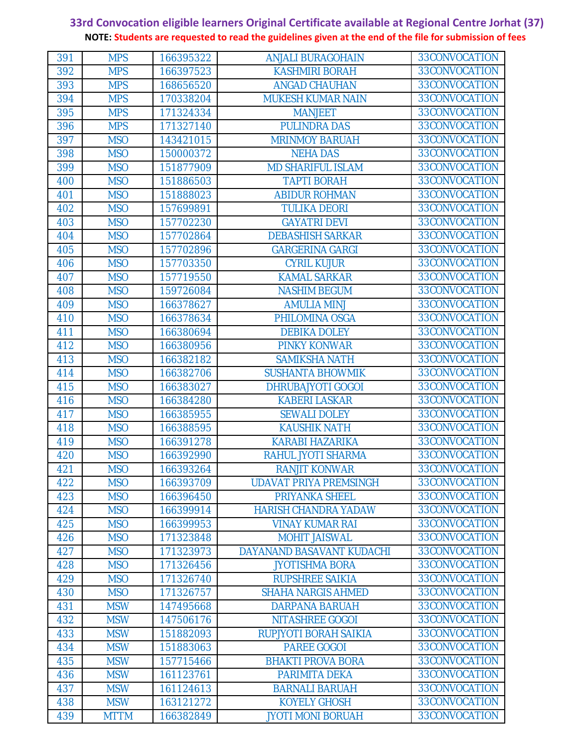| 391 | <b>MPS</b>  | 166395322 | <b>ANJALI BURAGOHAIN</b>      | 33CONVOCATION |  |
|-----|-------------|-----------|-------------------------------|---------------|--|
| 392 | <b>MPS</b>  | 166397523 | <b>KASHMIRI BORAH</b>         | 33CONVOCATION |  |
| 393 | <b>MPS</b>  | 168656520 | <b>ANGAD CHAUHAN</b>          | 33CONVOCATION |  |
| 394 | <b>MPS</b>  | 170338204 | <b>MUKESH KUMAR NAIN</b>      | 33CONVOCATION |  |
| 395 | <b>MPS</b>  | 171324334 | <b>MANJEET</b>                | 33CONVOCATION |  |
| 396 | <b>MPS</b>  | 171327140 | <b>PULINDRA DAS</b>           | 33CONVOCATION |  |
| 397 | <b>MSO</b>  | 143421015 | <b>MRINMOY BARUAH</b>         | 33CONVOCATION |  |
| 398 | <b>MSO</b>  | 150000372 | <b>NEHA DAS</b>               | 33CONVOCATION |  |
| 399 | <b>MSO</b>  | 151877909 | <b>MD SHARIFUL ISLAM</b>      | 33CONVOCATION |  |
| 400 | <b>MSO</b>  | 151886503 | <b>TAPTI BORAH</b>            | 33CONVOCATION |  |
| 401 | <b>MSO</b>  | 151888023 | <b>ABIDUR ROHMAN</b>          | 33CONVOCATION |  |
| 402 | <b>MSO</b>  | 157699891 | <b>TULIKA DEORI</b>           | 33CONVOCATION |  |
| 403 | <b>MSO</b>  | 157702230 | <b>GAYATRI DEVI</b>           | 33CONVOCATION |  |
| 404 | <b>MSO</b>  | 157702864 | <b>DEBASHISH SARKAR</b>       | 33CONVOCATION |  |
| 405 | <b>MSO</b>  | 157702896 | <b>GARGERINA GARGI</b>        | 33CONVOCATION |  |
| 406 | <b>MSO</b>  | 157703350 | <b>CYRIL KUJUR</b>            | 33CONVOCATION |  |
| 407 | <b>MSO</b>  | 157719550 | <b>KAMAL SARKAR</b>           | 33CONVOCATION |  |
| 408 | <b>MSO</b>  | 159726084 | <b>NASHIM BEGUM</b>           | 33CONVOCATION |  |
| 409 | <b>MSO</b>  | 166378627 | <b>AMULIA MINJ</b>            | 33CONVOCATION |  |
| 410 | <b>MSO</b>  | 166378634 | PHILOMINA OSGA                | 33CONVOCATION |  |
| 411 | <b>MSO</b>  | 166380694 | <b>DEBIKA DOLEY</b>           | 33CONVOCATION |  |
| 412 | <b>MSO</b>  | 166380956 | <b>PINKY KONWAR</b>           | 33CONVOCATION |  |
| 413 | <b>MSO</b>  | 166382182 | <b>SAMIKSHA NATH</b>          | 33CONVOCATION |  |
| 414 | <b>MSO</b>  | 166382706 | <b>SUSHANTA BHOWMIK</b>       | 33CONVOCATION |  |
| 415 | <b>MSO</b>  | 166383027 | <b>DHRUBAJYOTI GOGOI</b>      | 33CONVOCATION |  |
| 416 | <b>MSO</b>  | 166384280 | <b>KABERI LASKAR</b>          | 33CONVOCATION |  |
| 417 | <b>MSO</b>  | 166385955 | <b>SEWALI DOLEY</b>           | 33CONVOCATION |  |
| 418 | <b>MSO</b>  | 166388595 | <b>KAUSHIK NATH</b>           | 33CONVOCATION |  |
| 419 | <b>MSO</b>  | 166391278 | <b>KARABI HAZARIKA</b>        | 33CONVOCATION |  |
| 420 | <b>MSO</b>  | 166392990 | RAHUL JYOTI SHARMA            | 33CONVOCATION |  |
| 421 | <b>MSO</b>  | 166393264 | <b>RANJIT KONWAR</b>          | 33CONVOCATION |  |
| 422 | <b>MSO</b>  | 166393709 | <b>UDAVAT PRIYA PREMSINGH</b> | 33CONVOCATION |  |
| 423 | <b>MSO</b>  | 166396450 | <b>PRIYANKA SHEEL</b>         | 33CONVOCATION |  |
| 424 | <b>MSO</b>  | 166399914 | <b>HARISH CHANDRA YADAW</b>   | 33CONVOCATION |  |
| 425 | <b>MSO</b>  | 166399953 | <b>VINAY KUMAR RAI</b>        | 33CONVOCATION |  |
| 426 | <b>MSO</b>  | 171323848 | <b>MOHIT JAISWAL</b>          | 33CONVOCATION |  |
| 427 | <b>MSO</b>  | 171323973 | DAYANAND BASAVANT KUDACHI     | 33CONVOCATION |  |
| 428 | <b>MSO</b>  | 171326456 | <b>JYOTISHMA BORA</b>         | 33CONVOCATION |  |
| 429 | <b>MSO</b>  | 171326740 | <b>RUPSHREE SAIKIA</b>        | 33CONVOCATION |  |
| 430 | <b>MSO</b>  | 171326757 | <b>SHAHA NARGIS AHMED</b>     | 33CONVOCATION |  |
| 431 | <b>MSW</b>  | 147495668 | <b>DARPANA BARUAH</b>         | 33CONVOCATION |  |
| 432 | <b>MSW</b>  | 147506176 | NITASHREE GOGOI               | 33CONVOCATION |  |
| 433 | <b>MSW</b>  | 151882093 | RUPJYOTI BORAH SAIKIA         | 33CONVOCATION |  |
| 434 | <b>MSW</b>  | 151883063 | <b>PAREE GOGOI</b>            | 33CONVOCATION |  |
| 435 | <b>MSW</b>  | 157715466 | <b>BHAKTI PROVA BORA</b>      | 33CONVOCATION |  |
| 436 | <b>MSW</b>  | 161123761 | <b>PARIMITA DEKA</b>          | 33CONVOCATION |  |
| 437 | <b>MSW</b>  | 161124613 | <b>BARNALI BARUAH</b>         | 33CONVOCATION |  |
| 438 | <b>MSW</b>  | 163121272 | <b>KOYELY GHOSH</b>           | 33CONVOCATION |  |
| 439 | <b>MTTM</b> | 166382849 | <b>JYOTI MONI BORUAH</b>      | 33CONVOCATION |  |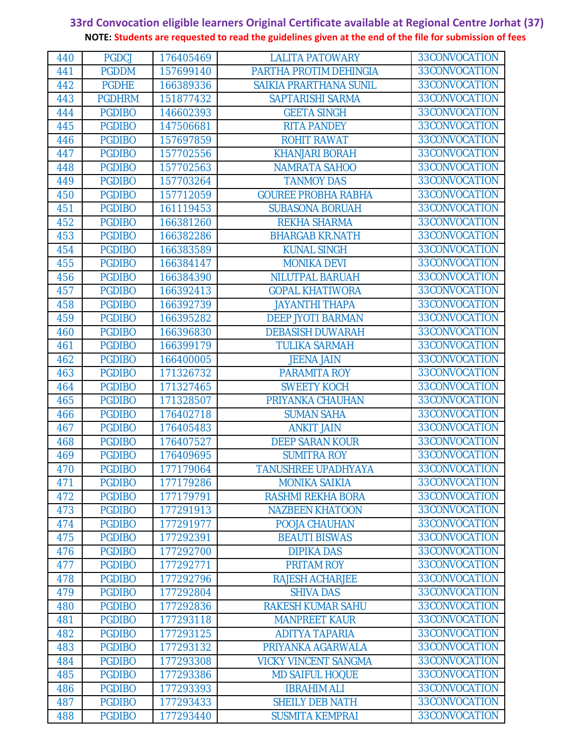| 440        | <b>PGDCJ</b>                   | 176405469              | <b>LALITA PATOWARY</b>                           | 33CONVOCATION                  |  |
|------------|--------------------------------|------------------------|--------------------------------------------------|--------------------------------|--|
| 441        | <b>PGDDM</b>                   | 157699140              | PARTHA PROTIM DEHINGIA                           | 33CONVOCATION                  |  |
| 442        | <b>PGDHE</b>                   | 166389336              | <b>SAIKIA PRARTHANA SUNIL</b>                    | 33CONVOCATION                  |  |
| 443        | <b>PGDHRM</b>                  | 151877432              | SAPTARISHI SARMA                                 | 33CONVOCATION                  |  |
| 444        | <b>PGDIBO</b>                  | 146602393              | <b>GEETA SINGH</b>                               | 33CONVOCATION                  |  |
| 445        | <b>PGDIBO</b>                  | 147506681              | <b>RITA PANDEY</b>                               | 33CONVOCATION                  |  |
| 446        | <b>PGDIBO</b>                  | 157697859              | <b>ROHIT RAWAT</b>                               | 33CONVOCATION                  |  |
| 447        | <b>PGDIBO</b>                  | 157702556              | <b>KHANJARI BORAH</b>                            | 33CONVOCATION                  |  |
| 448        | <b>PGDIBO</b>                  | 157702563              | <b>NAMRATA SAHOO</b>                             | 33CONVOCATION                  |  |
| 449        | <b>PGDIBO</b>                  | 157703264              | <b>TANMOY DAS</b>                                | 33CONVOCATION                  |  |
| 450        | <b>PGDIBO</b>                  | 157712059              | <b>GOUREE PROBHA RABHA</b>                       | 33CONVOCATION                  |  |
| 451        | <b>PGDIBO</b>                  | 161119453              | <b>SUBASONA BORUAH</b>                           | 33CONVOCATION                  |  |
| 452        | <b>PGDIBO</b>                  | 166381260              | <b>REKHA SHARMA</b>                              | 33CONVOCATION                  |  |
| 453        | <b>PGDIBO</b>                  | 166382286              | <b>BHARGAB KR.NATH</b>                           | 33CONVOCATION                  |  |
| 454        | <b>PGDIBO</b>                  | 166383589              | <b>KUNAL SINGH</b>                               | 33CONVOCATION                  |  |
| 455        | <b>PGDIBO</b>                  | 166384147              | <b>MONIKA DEVI</b>                               | 33CONVOCATION                  |  |
| 456        | <b>PGDIBO</b>                  | 166384390              | <b>NILUTPAL BARUAH</b>                           | 33CONVOCATION                  |  |
| 457        | <b>PGDIBO</b>                  | 166392413              | <b>GOPAL KHATIWORA</b>                           | 33CONVOCATION                  |  |
| 458        | <b>PGDIBO</b>                  | 166392739              | <b>JAYANTHI THAPA</b>                            | 33CONVOCATION                  |  |
| 459        | <b>PGDIBO</b>                  | 166395282              | <b>DEEP JYOTI BARMAN</b>                         | 33CONVOCATION                  |  |
| 460        | <b>PGDIBO</b>                  | 166396830              | <b>DEBASISH DUWARAH</b>                          | 33CONVOCATION                  |  |
| 461        | <b>PGDIBO</b>                  | 166399179              | <b>TULIKA SARMAH</b>                             | 33CONVOCATION                  |  |
| 462        | <b>PGDIBO</b>                  | 166400005              | <b>JEENA JAIN</b>                                | 33CONVOCATION                  |  |
| 463        | <b>PGDIBO</b>                  | 171326732              | PARAMITA ROY                                     | 33CONVOCATION                  |  |
| 464        | <b>PGDIBO</b>                  | 171327465              | <b>SWEETY KOCH</b>                               | 33CONVOCATION                  |  |
| 465        | <b>PGDIBO</b>                  | 171328507              | PRIYANKA CHAUHAN                                 | 33CONVOCATION                  |  |
| 466        | <b>PGDIBO</b>                  | 176402718              | <b>SUMAN SAHA</b>                                | 33CONVOCATION                  |  |
| 467        | <b>PGDIBO</b>                  | 176405483              | <b>ANKIT JAIN</b>                                | 33CONVOCATION                  |  |
| 468        | <b>PGDIBO</b>                  | 176407527              | <b>DEEP SARAN KOUR</b>                           | 33CONVOCATION<br>33CONVOCATION |  |
| 469        | <b>PGDIBO</b><br><b>PGDIBO</b> | 176409695<br>177179064 | <b>SUMITRA ROY</b><br><b>TANUSHREE UPADHYAYA</b> | 33CONVOCATION                  |  |
| 470<br>471 | <b>PGDIBO</b>                  | 177179286              | <b>MONIKA SAIKIA</b>                             | 33CONVOCATION                  |  |
| 472        | <b>PGDIBO</b>                  | 177179791              | <b>RASHMI REKHA BORA</b>                         | 33CONVOCATION                  |  |
| 473        | <b>PGDIBO</b>                  | 177291913              | <b>NAZBEEN KHATOON</b>                           | 33CONVOCATION                  |  |
| 474        | <b>PGDIBO</b>                  | 177291977              | POOJA CHAUHAN                                    | 33CONVOCATION                  |  |
| 475        | <b>PGDIBO</b>                  | 177292391              | <b>BEAUTI BISWAS</b>                             | 33CONVOCATION                  |  |
| 476        | <b>PGDIBO</b>                  | 177292700              | <b>DIPIKA DAS</b>                                | 33CONVOCATION                  |  |
| 477        | <b>PGDIBO</b>                  | 177292771              | PRITAM ROY                                       | 33CONVOCATION                  |  |
| 478        | <b>PGDIBO</b>                  | 177292796              | <b>RAJESH ACHARJEE</b>                           | 33CONVOCATION                  |  |
| 479        | <b>PGDIBO</b>                  | 177292804              | <b>SHIVA DAS</b>                                 | 33CONVOCATION                  |  |
| 480        | <b>PGDIBO</b>                  | 177292836              | <b>RAKESH KUMAR SAHU</b>                         | 33CONVOCATION                  |  |
| 481        | <b>PGDIBO</b>                  | 177293118              | <b>MANPREET KAUR</b>                             | 33CONVOCATION                  |  |
| 482        | <b>PGDIBO</b>                  | 177293125              | <b>ADITYA TAPARIA</b>                            | 33CONVOCATION                  |  |
| 483        | <b>PGDIBO</b>                  | 177293132              | PRIYANKA AGARWALA                                | 33CONVOCATION                  |  |
| 484        | <b>PGDIBO</b>                  | 177293308              | <b>VICKY VINCENT SANGMA</b>                      | 33CONVOCATION                  |  |
| 485        | <b>PGDIBO</b>                  | 177293386              | <b>MD SAIFUL HOQUE</b>                           | 33CONVOCATION                  |  |
| 486        | <b>PGDIBO</b>                  | 177293393              | <b>IBRAHIM ALI</b>                               | 33CONVOCATION                  |  |
| 487        | <b>PGDIBO</b>                  | 177293433              | <b>SHEILY DEB NATH</b>                           | 33CONVOCATION                  |  |
| 488        | <b>PGDIBO</b>                  | 177293440              | <b>SUSMITA KEMPRAI</b>                           | 33CONVOCATION                  |  |
|            |                                |                        |                                                  |                                |  |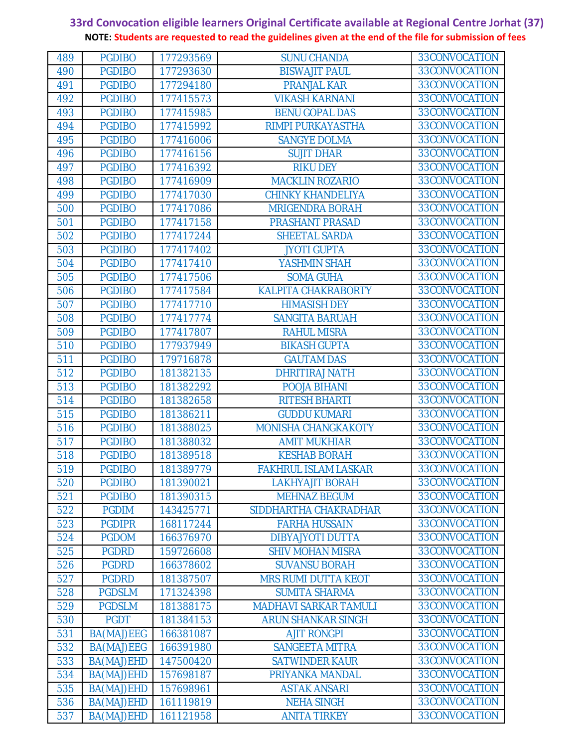| 489        | <b>PGDIBO</b>                  | 177293569              | <b>SUNU CHANDA</b>                          | 33CONVOCATION                  |  |
|------------|--------------------------------|------------------------|---------------------------------------------|--------------------------------|--|
| 490        | <b>PGDIBO</b>                  | 177293630              | <b>BISWAJIT PAUL</b>                        | 33CONVOCATION                  |  |
| 491        | <b>PGDIBO</b>                  | 177294180              | <b>PRANJAL KAR</b>                          | 33CONVOCATION                  |  |
| 492        | <b>PGDIBO</b>                  | 177415573              | <b>VIKASH KARNANI</b>                       | 33CONVOCATION                  |  |
| 493        | <b>PGDIBO</b>                  | 177415985              | <b>BENU GOPAL DAS</b>                       | 33CONVOCATION                  |  |
| 494        | <b>PGDIBO</b>                  | 177415992              | RIMPI PURKAYASTHA                           | 33CONVOCATION                  |  |
| 495        | <b>PGDIBO</b>                  | 177416006              | <b>SANGYE DOLMA</b>                         | 33CONVOCATION                  |  |
| 496        | <b>PGDIBO</b>                  | 177416156              | <b>SUJIT DHAR</b>                           | 33CONVOCATION                  |  |
| 497        | <b>PGDIBO</b>                  | 177416392              | <b>RIKU DEY</b>                             | 33CONVOCATION                  |  |
| 498        | <b>PGDIBO</b>                  | 177416909              | <b>MACKLIN ROZARIO</b>                      | 33CONVOCATION                  |  |
| 499        | <b>PGDIBO</b>                  | 177417030              | <b>CHINKY KHANDELIYA</b>                    | 33CONVOCATION                  |  |
| 500        | <b>PGDIBO</b>                  | 177417086              | <b>MRIGENDRA BORAH</b>                      | 33CONVOCATION                  |  |
| 501        | <b>PGDIBO</b>                  | 177417158              | <b>PRASHANT PRASAD</b>                      | 33CONVOCATION                  |  |
| 502        | <b>PGDIBO</b>                  | 177417244              | <b>SHEETAL SARDA</b>                        | 33CONVOCATION                  |  |
| 503        | <b>PGDIBO</b>                  | 177417402              | <b>JYOTI GUPTA</b>                          | 33CONVOCATION                  |  |
| 504        | <b>PGDIBO</b>                  | 177417410              | YASHMIN SHAH                                | 33CONVOCATION                  |  |
| 505        | <b>PGDIBO</b>                  | 177417506              | <b>SOMA GUHA</b>                            | 33CONVOCATION                  |  |
| 506        | <b>PGDIBO</b>                  | 177417584              | <b>KALPITA CHAKRABORTY</b>                  | 33CONVOCATION                  |  |
| 507        | <b>PGDIBO</b>                  | 177417710              | <b>HIMASISH DEY</b>                         | 33CONVOCATION                  |  |
| 508        | <b>PGDIBO</b>                  | 177417774              | <b>SANGITA BARUAH</b>                       | 33CONVOCATION                  |  |
| 509        | <b>PGDIBO</b>                  | 177417807              | <b>RAHUL MISRA</b>                          | 33CONVOCATION                  |  |
| 510        | <b>PGDIBO</b>                  | 177937949              | <b>BIKASH GUPTA</b>                         | 33CONVOCATION                  |  |
| 511        | <b>PGDIBO</b>                  | 179716878              | <b>GAUTAM DAS</b>                           | 33CONVOCATION                  |  |
| 512        | <b>PGDIBO</b>                  | 181382135              | <b>DHRITIRAJ NATH</b>                       | 33CONVOCATION<br>33CONVOCATION |  |
| 513        | <b>PGDIBO</b>                  | 181382292              | POOJA BIHANI                                | 33CONVOCATION                  |  |
| 514<br>515 | <b>PGDIBO</b><br><b>PGDIBO</b> | 181382658              | <b>RITESH BHARTI</b><br><b>GUDDU KUMARI</b> | 33CONVOCATION                  |  |
| 516        | <b>PGDIBO</b>                  | 181386211<br>181388025 | MONISHA CHANGKAKOTY                         | 33CONVOCATION                  |  |
| 517        | <b>PGDIBO</b>                  | 181388032              | <b>AMIT MUKHIAR</b>                         | 33CONVOCATION                  |  |
| 518        | <b>PGDIBO</b>                  | 181389518              | <b>KESHAB BORAH</b>                         | 33CONVOCATION                  |  |
| 519        | <b>PGDIBO</b>                  | 181389779              | <b>FAKHRUL ISLAM LASKAR</b>                 | 33CONVOCATION                  |  |
| 520        | <b>PGDIBO</b>                  | 181390021              | <b>LAKHYAJIT BORAH</b>                      | 33CONVOCATION                  |  |
| 521        | <b>PGDIBO</b>                  | 181390315              | <b>MEHNAZ BEGUM</b>                         | 33CONVOCATION                  |  |
| 522        | <b>PGDIM</b>                   | 143425771              | SIDDHARTHA CHAKRADHAR                       | 33CONVOCATION                  |  |
| 523        | <b>PGDIPR</b>                  | 168117244              | <b>FARHA HUSSAIN</b>                        | 33CONVOCATION                  |  |
| 524        | <b>PGDOM</b>                   | 166376970              | <b>DIBYAJYOTI DUTTA</b>                     | 33CONVOCATION                  |  |
| 525        | <b>PGDRD</b>                   | 159726608              | <b>SHIV MOHAN MISRA</b>                     | 33CONVOCATION                  |  |
| 526        | <b>PGDRD</b>                   | 166378602              | <b>SUVANSU BORAH</b>                        | 33CONVOCATION                  |  |
| 527        | <b>PGDRD</b>                   | 181387507              | <b>MRS RUMI DUTTA KEOT</b>                  | 33CONVOCATION                  |  |
| 528        | <b>PGDSLM</b>                  | 171324398              | <b>SUMITA SHARMA</b>                        | 33CONVOCATION                  |  |
| 529        | <b>PGDSLM</b>                  | 181388175              | <b>MADHAVI SARKAR TAMULI</b>                | 33CONVOCATION                  |  |
| 530        | <b>PGDT</b>                    | 181384153              | <b>ARUN SHANKAR SINGH</b>                   | 33CONVOCATION                  |  |
| 531        | BA(MAJ)EEG                     | 166381087              | <b>AJIT RONGPI</b>                          | 33CONVOCATION                  |  |
| 532        | BA(MAJ)EEG                     | 166391980              | <b>SANGEETA MITRA</b>                       | 33CONVOCATION                  |  |
| 533        | BA(MAJ)EHD                     | 147500420              | <b>SATWINDER KAUR</b>                       | 33CONVOCATION                  |  |
| 534        | BA(MAJ)EHD                     | 157698187              | PRIYANKA MANDAL                             | 33CONVOCATION                  |  |
| 535        | BA(MAJ)EHD                     | 157698961              | <b>ASTAK ANSARI</b>                         | 33CONVOCATION                  |  |
| 536        | BA(MAJ)EHD                     | 161119819              | <b>NEHA SINGH</b>                           | 33CONVOCATION                  |  |
| 537        | BA(MAJ)EHD                     | 161121958              | <b>ANITA TIRKEY</b>                         | 33CONVOCATION                  |  |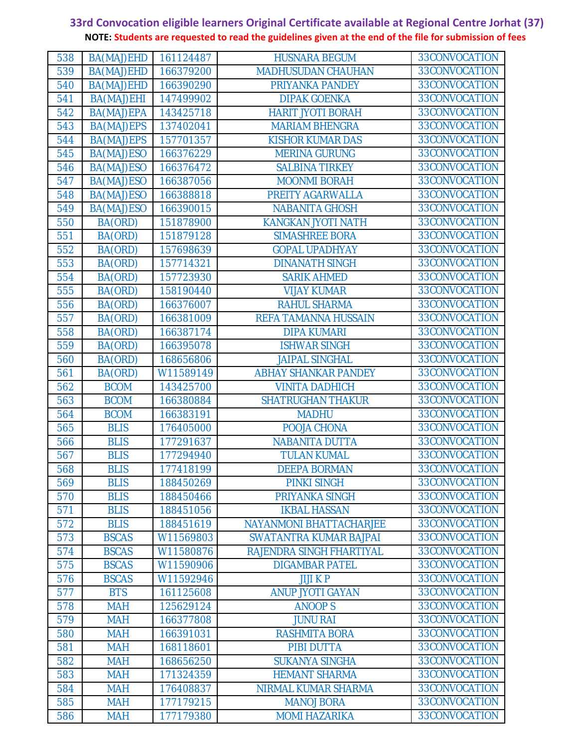| 538 | BA(MAJ)EHD   | 161124487 | <b>HUSNARA BEGUM</b>           | 33CONVOCATION |  |
|-----|--------------|-----------|--------------------------------|---------------|--|
| 539 | BA(MAJ)EHD   | 166379200 | <b>MADHUSUDAN CHAUHAN</b>      | 33CONVOCATION |  |
| 540 | BA(MAJ)EHD   | 166390290 | PRIYANKA PANDEY                | 33CONVOCATION |  |
| 541 | BA(MAJ)EHI   | 147499902 | <b>DIPAK GOENKA</b>            | 33CONVOCATION |  |
| 542 | BA(MAJ)EPA   | 143425718 | <b>HARIT JYOTI BORAH</b>       | 33CONVOCATION |  |
| 543 | BA(MAJ)EPS   | 137402041 | <b>MARIAM BHENGRA</b>          | 33CONVOCATION |  |
| 544 | BA(MAJ)EPS   | 157701357 | <b>KISHOR KUMAR DAS</b>        | 33CONVOCATION |  |
| 545 | BA(MAJ)ESO   | 166376229 | <b>MERINA GURUNG</b>           | 33CONVOCATION |  |
| 546 | BA(MAJ)ESO   | 166376472 | <b>SALBINA TIRKEY</b>          | 33CONVOCATION |  |
| 547 | BA(MAJ)ESO   | 166387056 | <b>MOONMI BORAH</b>            | 33CONVOCATION |  |
| 548 | BA(MAJ)ESO   | 166388818 | PREITY AGARWALLA               | 33CONVOCATION |  |
| 549 | BA(MAJ)ESO   | 166390015 | <b>NABANITA GHOSH</b>          | 33CONVOCATION |  |
| 550 | BA(ORD)      | 151878900 | <b>KANGKAN JYOTI NATH</b>      | 33CONVOCATION |  |
| 551 | BA(ORD)      | 151879128 | <b>SIMASHREE BORA</b>          | 33CONVOCATION |  |
| 552 | BA(ORD)      | 157698639 | <b>GOPAL UPADHYAY</b>          | 33CONVOCATION |  |
| 553 | BA(ORD)      | 157714321 | <b>DINANATH SINGH</b>          | 33CONVOCATION |  |
| 554 | BA(ORD)      | 157723930 | <b>SARIK AHMED</b>             | 33CONVOCATION |  |
| 555 | BA(ORD)      | 158190440 | <b>VIJAY KUMAR</b>             | 33CONVOCATION |  |
| 556 | BA(ORD)      | 166376007 | <b>RAHUL SHARMA</b>            | 33CONVOCATION |  |
| 557 | BA(ORD)      | 166381009 | REFA TAMANNA HUSSAIN           | 33CONVOCATION |  |
| 558 | BA(ORD)      | 166387174 | <b>DIPA KUMARI</b>             | 33CONVOCATION |  |
| 559 | BA(ORD)      | 166395078 | <b>ISHWAR SINGH</b>            | 33CONVOCATION |  |
| 560 | BA(ORD)      | 168656806 | <b>JAIPAL SINGHAL</b>          | 33CONVOCATION |  |
| 561 | BA(ORD)      | W11589149 | <b>ABHAY SHANKAR PANDEY</b>    | 33CONVOCATION |  |
| 562 | <b>BCOM</b>  | 143425700 | <b>VINITA DADHICH</b>          | 33CONVOCATION |  |
| 563 | <b>BCOM</b>  | 166380884 | <b>SHATRUGHAN THAKUR</b>       | 33CONVOCATION |  |
| 564 | <b>BCOM</b>  | 166383191 | <b>MADHU</b>                   | 33CONVOCATION |  |
| 565 | <b>BLIS</b>  | 176405000 | POOJA CHONA                    | 33CONVOCATION |  |
| 566 | <b>BLIS</b>  | 177291637 | <b>NABANITA DUTTA</b>          | 33CONVOCATION |  |
| 567 | <b>BLIS</b>  | 177294940 | <b>TULAN KUMAL</b>             | 33CONVOCATION |  |
| 568 | <b>BLIS</b>  | 177418199 | <b>DEEPA BORMAN</b>            | 33CONVOCATION |  |
| 569 | <b>BLIS</b>  | 188450269 | <b>PINKI SINGH</b>             | 33CONVOCATION |  |
| 570 | <b>BLIS</b>  | 188450466 | PRIYANKA SINGH                 | 33CONVOCATION |  |
| 571 | <b>BLIS</b>  | 188451056 | <b>IKBAL HASSAN</b>            | 33CONVOCATION |  |
| 572 | <b>BLIS</b>  | 188451619 | <b>NAYANMONI BHATTACHARJEE</b> | 33CONVOCATION |  |
| 573 | <b>BSCAS</b> | W11569803 | <b>SWATANTRA KUMAR BAJPAI</b>  | 33CONVOCATION |  |
| 574 | <b>BSCAS</b> | W11580876 | RAJENDRA SINGH FHARTIYAL       | 33CONVOCATION |  |
| 575 | <b>BSCAS</b> | W11590906 | <b>DIGAMBAR PATEL</b>          | 33CONVOCATION |  |
| 576 | <b>BSCAS</b> | W11592946 | <b>JIJI KP</b>                 | 33CONVOCATION |  |
| 577 | <b>BTS</b>   | 161125608 | <b>ANUP JYOTI GAYAN</b>        | 33CONVOCATION |  |
| 578 | <b>MAH</b>   | 125629124 | <b>ANOOPS</b>                  | 33CONVOCATION |  |
| 579 | <b>MAH</b>   | 166377808 | <b>JUNU RAI</b>                | 33CONVOCATION |  |
| 580 | <b>MAH</b>   | 166391031 | <b>RASHMITA BORA</b>           | 33CONVOCATION |  |
| 581 | <b>MAH</b>   | 168118601 | PIBI DUTTA                     | 33CONVOCATION |  |
| 582 | <b>MAH</b>   | 168656250 | <b>SUKANYA SINGHA</b>          | 33CONVOCATION |  |
| 583 | <b>MAH</b>   | 171324359 | <b>HEMANT SHARMA</b>           | 33CONVOCATION |  |
| 584 | <b>MAH</b>   | 176408837 | NIRMAL KUMAR SHARMA            | 33CONVOCATION |  |
| 585 | <b>MAH</b>   | 177179215 | <b>MANOJ BORA</b>              | 33CONVOCATION |  |
| 586 | <b>MAH</b>   | 177179380 | <b>MOMI HAZARIKA</b>           | 33CONVOCATION |  |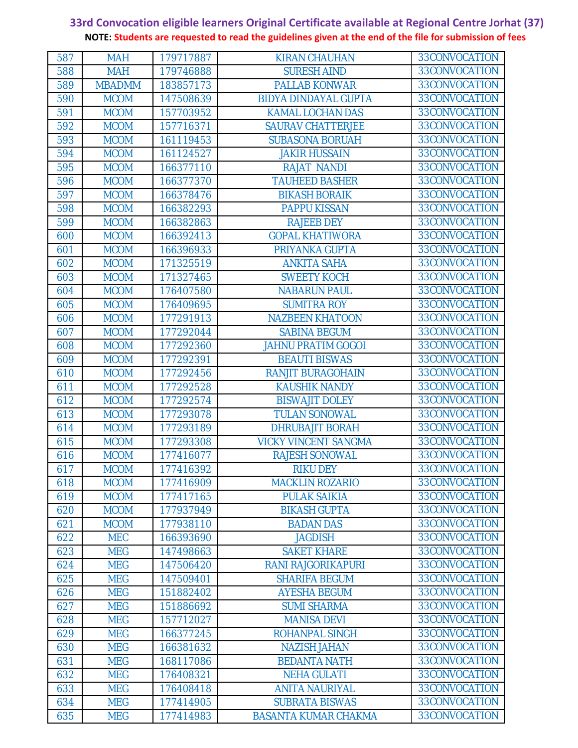| 587        | <b>MAH</b>                | 179717887              | <b>KIRAN CHAUHAN</b>                 | 33CONVOCATION                  |
|------------|---------------------------|------------------------|--------------------------------------|--------------------------------|
| 588        | <b>MAH</b>                | 179746888              | <b>SURESH AIND</b>                   | 33CONVOCATION                  |
| 589        | <b>MBADMM</b>             | 183857173              | <b>PALLAB KONWAR</b>                 | 33CONVOCATION                  |
| 590        | <b>MCOM</b>               | 147508639              | <b>BIDYA DINDAYAL GUPTA</b>          | 33CONVOCATION                  |
| 591        | <b>MCOM</b>               | 157703952              | <b>KAMAL LOCHAN DAS</b>              | 33CONVOCATION                  |
| 592        | <b>MCOM</b>               | 157716371              | <b>SAURAV CHATTERJEE</b>             | 33CONVOCATION                  |
| 593        | <b>MCOM</b>               | 161119453              | <b>SUBASONA BORUAH</b>               | 33CONVOCATION                  |
| 594        | <b>MCOM</b>               | 161124527              | <b>JAKIR HUSSAIN</b>                 | 33CONVOCATION                  |
| 595        | <b>MCOM</b>               | 166377110              | <b>RAJAT NANDI</b>                   | 33CONVOCATION                  |
| 596        | <b>MCOM</b>               | 166377370              | <b>TAUHEED BASHER</b>                | 33CONVOCATION                  |
| 597        | <b>MCOM</b>               | 166378476              | <b>BIKASH BORAIK</b>                 | 33CONVOCATION                  |
| 598        | <b>MCOM</b>               | 166382293              | <b>PAPPU KISSAN</b>                  | 33CONVOCATION                  |
| 599        | <b>MCOM</b>               | 166382863              | <b>RAJEEB DEY</b>                    | 33CONVOCATION                  |
| 600        | <b>MCOM</b>               | 166392413              | <b>GOPAL KHATIWORA</b>               | 33CONVOCATION                  |
| 601        | <b>MCOM</b>               | 166396933              | PRIYANKA GUPTA                       | 33CONVOCATION                  |
| 602        | <b>MCOM</b>               | 171325519              | <b>ANKITA SAHA</b>                   | 33CONVOCATION                  |
| 603        | <b>MCOM</b>               | 171327465              | <b>SWEETY KOCH</b>                   | 33CONVOCATION                  |
| 604        | <b>MCOM</b>               | 176407580              | <b>NABARUN PAUL</b>                  | 33CONVOCATION                  |
| 605        | <b>MCOM</b>               | 176409695              | <b>SUMITRA ROY</b>                   | 33CONVOCATION                  |
| 606        | <b>MCOM</b>               | 177291913              | <b>NAZBEEN KHATOON</b>               | 33CONVOCATION                  |
| 607        | <b>MCOM</b>               | 177292044              | <b>SABINA BEGUM</b>                  | 33CONVOCATION                  |
| 608        | <b>MCOM</b>               | 177292360              | <b>JAHNU PRATIM GOGOI</b>            | 33CONVOCATION                  |
| 609        | <b>MCOM</b>               | 177292391              | <b>BEAUTI BISWAS</b>                 | 33CONVOCATION                  |
| 610        | <b>MCOM</b>               | 177292456              | <b>RANJIT BURAGOHAIN</b>             | 33CONVOCATION                  |
| 611        | <b>MCOM</b>               | 177292528              | <b>KAUSHIK NANDY</b>                 | 33CONVOCATION                  |
| 612        | <b>MCOM</b>               | 177292574              | <b>BISWAJIT DOLEY</b>                | 33CONVOCATION                  |
| 613        | <b>MCOM</b>               | 177293078              | <b>TULAN SONOWAL</b>                 | 33CONVOCATION                  |
| 614        | <b>MCOM</b>               | 177293189              | <b>DHRUBAJIT BORAH</b>               | 33CONVOCATION                  |
| 615        | <b>MCOM</b>               | 177293308              | <b>VICKY VINCENT SANGMA</b>          | 33CONVOCATION                  |
| 616        | <b>MCOM</b>               | 177416077              | <b>RAJESH SONOWAL</b>                | 33CONVOCATION                  |
| 617        | <b>MCOM</b>               | 177416392              | <b>RIKU DEY</b>                      | 33CONVOCATION                  |
| 618        | <b>MCOM</b>               | 177416909              | <b>MACKLIN ROZARIO</b>               | 33CONVOCATION<br>33CONVOCATION |
| 619        | <b>MCOM</b>               | 177417165              | <b>PULAK SAIKIA</b>                  | 33CONVOCATION                  |
| 620        | <b>MCOM</b>               | 177937949              | <b>BIKASH GUPTA</b>                  | 33CONVOCATION                  |
| 621        | <b>MCOM</b><br><b>MEC</b> | 177938110              | <b>BADAN DAS</b>                     | 33CONVOCATION                  |
| 622<br>623 | <b>MEG</b>                | 166393690<br>147498663 | <b>JAGDISH</b><br><b>SAKET KHARE</b> | 33CONVOCATION                  |
| 624        | <b>MEG</b>                | 147506420              | <b>RANI RAJGORIKAPURI</b>            | 33CONVOCATION                  |
| 625        | <b>MEG</b>                | 147509401              | <b>SHARIFA BEGUM</b>                 | 33CONVOCATION                  |
| 626        | <b>MEG</b>                | 151882402              | <b>AYESHA BEGUM</b>                  | 33CONVOCATION                  |
| 627        | <b>MEG</b>                | 151886692              | <b>SUMI SHARMA</b>                   | 33CONVOCATION                  |
| 628        | <b>MEG</b>                | 157712027              | <b>MANISA DEVI</b>                   | 33CONVOCATION                  |
| 629        | <b>MEG</b>                | 166377245              | <b>ROHANPAL SINGH</b>                | 33CONVOCATION                  |
| 630        | <b>MEG</b>                | 166381632              | <b>NAZISH JAHAN</b>                  | 33CONVOCATION                  |
| 631        | <b>MEG</b>                | 168117086              | <b>BEDANTA NATH</b>                  | 33CONVOCATION                  |
| 632        | <b>MEG</b>                | 176408321              | <b>NEHA GULATI</b>                   | 33CONVOCATION                  |
| 633        | <b>MEG</b>                | 176408418              | <b>ANITA NAURIYAL</b>                | 33CONVOCATION                  |
| 634        | <b>MEG</b>                | 177414905              | <b>SUBRATA BISWAS</b>                | 33CONVOCATION                  |
| 635        | <b>MEG</b>                | 177414983              | <b>BASANTA KUMAR CHAKMA</b>          | 33CONVOCATION                  |
|            |                           |                        |                                      |                                |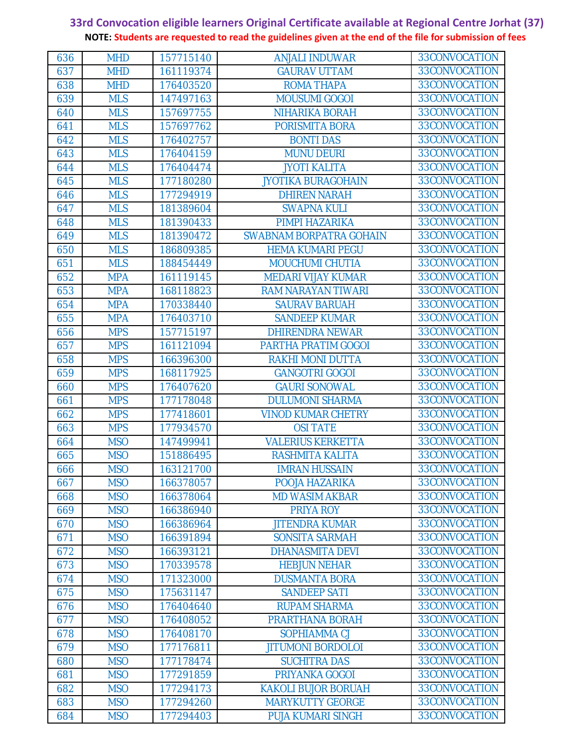| 636 | <b>MHD</b> | 157715140 | <b>ANJALI INDUWAR</b>      | 33CONVOCATION |
|-----|------------|-----------|----------------------------|---------------|
| 637 | <b>MHD</b> | 161119374 | <b>GAURAV UTTAM</b>        | 33CONVOCATION |
| 638 | <b>MHD</b> | 176403520 | <b>ROMA THAPA</b>          | 33CONVOCATION |
| 639 | <b>MLS</b> | 147497163 | <b>MOUSUMI GOGOI</b>       | 33CONVOCATION |
| 640 | <b>MLS</b> | 157697755 | <b>NIHARIKA BORAH</b>      | 33CONVOCATION |
| 641 | <b>MLS</b> | 157697762 | PORISMITA BORA             | 33CONVOCATION |
| 642 | <b>MLS</b> | 176402757 | <b>BONTI DAS</b>           | 33CONVOCATION |
| 643 | <b>MLS</b> | 176404159 | <b>MUNU DEURI</b>          | 33CONVOCATION |
| 644 | <b>MLS</b> | 176404474 | <b>JYOTI KALITA</b>        | 33CONVOCATION |
| 645 | <b>MLS</b> | 177180280 | <b>JYOTIKA BURAGOHAIN</b>  | 33CONVOCATION |
| 646 | <b>MLS</b> | 177294919 | <b>DHIREN NARAH</b>        | 33CONVOCATION |
| 647 | <b>MLS</b> | 181389604 | <b>SWAPNA KULI</b>         | 33CONVOCATION |
| 648 | <b>MLS</b> | 181390433 | PIMPI HAZARIKA             | 33CONVOCATION |
| 649 | <b>MLS</b> | 181390472 | SWABNAM BORPATRA GOHAIN    | 33CONVOCATION |
| 650 | <b>MLS</b> | 186809385 | <b>HEMA KUMARI PEGU</b>    | 33CONVOCATION |
| 651 | <b>MLS</b> | 188454449 | <b>MOUCHUMI CHUTIA</b>     | 33CONVOCATION |
| 652 | <b>MPA</b> | 161119145 | <b>MEDARI VIJAY KUMAR</b>  | 33CONVOCATION |
| 653 | <b>MPA</b> | 168118823 | <b>RAM NARAYAN TIWARI</b>  | 33CONVOCATION |
| 654 | <b>MPA</b> | 170338440 | <b>SAURAV BARUAH</b>       | 33CONVOCATION |
| 655 | <b>MPA</b> | 176403710 | <b>SANDEEP KUMAR</b>       | 33CONVOCATION |
| 656 | <b>MPS</b> | 157715197 | <b>DHIRENDRA NEWAR</b>     | 33CONVOCATION |
| 657 | <b>MPS</b> | 161121094 | PARTHA PRATIM GOGOI        | 33CONVOCATION |
| 658 | <b>MPS</b> | 166396300 | <b>RAKHI MONI DUTTA</b>    | 33CONVOCATION |
| 659 | <b>MPS</b> | 168117925 | <b>GANGOTRI GOGOI</b>      | 33CONVOCATION |
| 660 | <b>MPS</b> | 176407620 | <b>GAURI SONOWAL</b>       | 33CONVOCATION |
| 661 | <b>MPS</b> | 177178048 | <b>DULUMONI SHARMA</b>     | 33CONVOCATION |
| 662 | <b>MPS</b> | 177418601 | <b>VINOD KUMAR CHETRY</b>  | 33CONVOCATION |
| 663 | <b>MPS</b> | 177934570 | <b>OSI TATE</b>            | 33CONVOCATION |
| 664 | <b>MSO</b> | 147499941 | <b>VALERIUS KERKETTA</b>   | 33CONVOCATION |
| 665 | <b>MSO</b> | 151886495 | RASHMITA KALITA            | 33CONVOCATION |
| 666 | <b>MSO</b> | 163121700 | <b>IMRAN HUSSAIN</b>       | 33CONVOCATION |
| 667 | <b>MSO</b> | 166378057 | POOJA HAZARIKA             | 33CONVOCATION |
| 668 | <b>MSO</b> | 166378064 | <b>MD WASIM AKBAR</b>      | 33CONVOCATION |
| 669 | <b>MSO</b> | 166386940 | PRIYA ROY                  | 33CONVOCATION |
| 670 | <b>MSO</b> | 166386964 | <b>JITENDRA KUMAR</b>      | 33CONVOCATION |
| 671 | <b>MSO</b> | 166391894 | <b>SONSITA SARMAH</b>      | 33CONVOCATION |
| 672 | <b>MSO</b> | 166393121 | <b>DHANASMITA DEVI</b>     | 33CONVOCATION |
| 673 | <b>MSO</b> | 170339578 | <b>HEBJUN NEHAR</b>        | 33CONVOCATION |
| 674 | <b>MSO</b> | 171323000 | <b>DUSMANTA BORA</b>       | 33CONVOCATION |
| 675 | <b>MSO</b> | 175631147 | <b>SANDEEP SATI</b>        | 33CONVOCATION |
| 676 | <b>MSO</b> | 176404640 | <b>RUPAM SHARMA</b>        | 33CONVOCATION |
| 677 | <b>MSO</b> | 176408052 | PRARTHANA BORAH            | 33CONVOCATION |
| 678 | <b>MSO</b> | 176408170 | SOPHIAMMA CJ               | 33CONVOCATION |
| 679 | <b>MSO</b> | 177176811 | <b>JITUMONI BORDOLOI</b>   | 33CONVOCATION |
| 680 | <b>MSO</b> | 177178474 | <b>SUCHITRA DAS</b>        | 33CONVOCATION |
| 681 | <b>MSO</b> | 177291859 | PRIYANKA GOGOI             | 33CONVOCATION |
| 682 | <b>MSO</b> | 177294173 | <b>KAKOLI BUJOR BORUAH</b> | 33CONVOCATION |
| 683 | <b>MSO</b> | 177294260 | <b>MARYKUTTY GEORGE</b>    | 33CONVOCATION |
| 684 | <b>MSO</b> | 177294403 | <b>PUJA KUMARI SINGH</b>   | 33CONVOCATION |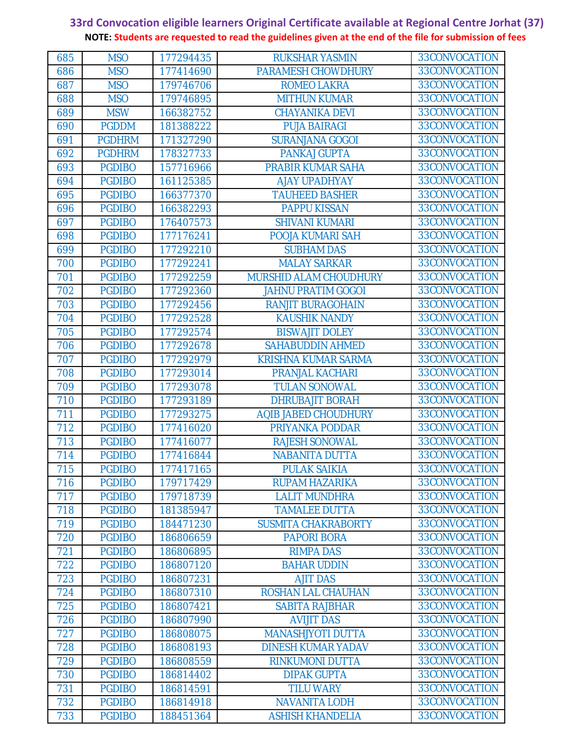| 685 | <b>MSO</b>    | 177294435 | <b>RUKSHAR YASMIN</b>      | 33CONVOCATION |
|-----|---------------|-----------|----------------------------|---------------|
| 686 | <b>MSO</b>    | 177414690 | PARAMESH CHOWDHURY         | 33CONVOCATION |
| 687 | <b>MSO</b>    | 179746706 | <b>ROMEO LAKRA</b>         | 33CONVOCATION |
| 688 | <b>MSO</b>    | 179746895 | <b>MITHUN KUMAR</b>        | 33CONVOCATION |
| 689 | <b>MSW</b>    | 166382752 | <b>CHAYANIKA DEVI</b>      | 33CONVOCATION |
| 690 | <b>PGDDM</b>  | 181388222 | <b>PUJA BAIRAGI</b>        | 33CONVOCATION |
| 691 | <b>PGDHRM</b> | 171327290 | <b>SURANJANA GOGOI</b>     | 33CONVOCATION |
| 692 | <b>PGDHRM</b> | 178327733 | <b>PANKAJ GUPTA</b>        | 33CONVOCATION |
| 693 | <b>PGDIBO</b> | 157716966 | <b>PRABIR KUMAR SAHA</b>   | 33CONVOCATION |
| 694 | <b>PGDIBO</b> | 161125385 | <b>AJAY UPADHYAY</b>       | 33CONVOCATION |
| 695 | <b>PGDIBO</b> | 166377370 | <b>TAUHEED BASHER</b>      | 33CONVOCATION |
| 696 | <b>PGDIBO</b> | 166382293 | <b>PAPPU KISSAN</b>        | 33CONVOCATION |
| 697 | <b>PGDIBO</b> | 176407573 | <b>SHIVANI KUMARI</b>      | 33CONVOCATION |
| 698 | <b>PGDIBO</b> | 177176241 | POOJA KUMARI SAH           | 33CONVOCATION |
| 699 | <b>PGDIBO</b> | 177292210 | <b>SUBHAM DAS</b>          | 33CONVOCATION |
| 700 | <b>PGDIBO</b> | 177292241 | <b>MALAY SARKAR</b>        | 33CONVOCATION |
| 701 | <b>PGDIBO</b> | 177292259 | MURSHID ALAM CHOUDHURY     | 33CONVOCATION |
| 702 | <b>PGDIBO</b> | 177292360 | <b>JAHNU PRATIM GOGOI</b>  | 33CONVOCATION |
| 703 | <b>PGDIBO</b> | 177292456 | <b>RANJIT BURAGOHAIN</b>   | 33CONVOCATION |
| 704 | <b>PGDIBO</b> | 177292528 | <b>KAUSHIK NANDY</b>       | 33CONVOCATION |
| 705 | <b>PGDIBO</b> | 177292574 | <b>BISWAJIT DOLEY</b>      | 33CONVOCATION |
| 706 | <b>PGDIBO</b> | 177292678 | <b>SAHABUDDIN AHMED</b>    | 33CONVOCATION |
| 707 | <b>PGDIBO</b> | 177292979 | <b>KRISHNA KUMAR SARMA</b> | 33CONVOCATION |
| 708 | <b>PGDIBO</b> | 177293014 | <b>PRANJAL KACHARI</b>     | 33CONVOCATION |
| 709 | <b>PGDIBO</b> | 177293078 | <b>TULAN SONOWAL</b>       | 33CONVOCATION |
| 710 | <b>PGDIBO</b> | 177293189 | <b>DHRUBAJIT BORAH</b>     | 33CONVOCATION |
| 711 | <b>PGDIBO</b> | 177293275 | AQIB JABED CHOUDHURY       | 33CONVOCATION |
| 712 | <b>PGDIBO</b> | 177416020 | PRIYANKA PODDAR            | 33CONVOCATION |
| 713 | <b>PGDIBO</b> | 177416077 | <b>RAJESH SONOWAL</b>      | 33CONVOCATION |
| 714 | <b>PGDIBO</b> | 177416844 | <b>NABANITA DUTTA</b>      | 33CONVOCATION |
| 715 | <b>PGDIBO</b> | 177417165 | <b>PULAK SAIKIA</b>        | 33CONVOCATION |
| 716 | <b>PGDIBO</b> | 179717429 | <b>RUPAM HAZARIKA</b>      | 33CONVOCATION |
| 717 | <b>PGDIBO</b> | 179718739 | <b>LALIT MUNDHRA</b>       | 33CONVOCATION |
| 718 | <b>PGDIBO</b> | 181385947 | <b>TAMALEE DUTTA</b>       | 33CONVOCATION |
| 719 | <b>PGDIBO</b> | 184471230 | <b>SUSMITA CHAKRABORTY</b> | 33CONVOCATION |
| 720 | <b>PGDIBO</b> | 186806659 | <b>PAPORI BORA</b>         | 33CONVOCATION |
| 721 | <b>PGDIBO</b> | 186806895 | <b>RIMPA DAS</b>           | 33CONVOCATION |
| 722 | <b>PGDIBO</b> | 186807120 | <b>BAHAR UDDIN</b>         | 33CONVOCATION |
| 723 | <b>PGDIBO</b> | 186807231 | <b>AJIT DAS</b>            | 33CONVOCATION |
| 724 | <b>PGDIBO</b> | 186807310 | ROSHAN LAL CHAUHAN         | 33CONVOCATION |
| 725 | <b>PGDIBO</b> | 186807421 | <b>SABITA RAJBHAR</b>      | 33CONVOCATION |
| 726 | <b>PGDIBO</b> | 186807990 | <b>AVIJIT DAS</b>          | 33CONVOCATION |
| 727 | <b>PGDIBO</b> | 186808075 | <b>MANASHJYOTI DUTTA</b>   | 33CONVOCATION |
| 728 | <b>PGDIBO</b> | 186808193 | <b>DINESH KUMAR YADAV</b>  | 33CONVOCATION |
| 729 | <b>PGDIBO</b> | 186808559 | <b>RINKUMONI DUTTA</b>     | 33CONVOCATION |
| 730 | <b>PGDIBO</b> | 186814402 | <b>DIPAK GUPTA</b>         | 33CONVOCATION |
| 731 | <b>PGDIBO</b> | 186814591 | <b>TILU WARY</b>           | 33CONVOCATION |
| 732 | <b>PGDIBO</b> | 186814918 | <b>NAVANITA LODH</b>       | 33CONVOCATION |
| 733 | <b>PGDIBO</b> | 188451364 | <b>ASHISH KHANDELIA</b>    | 33CONVOCATION |